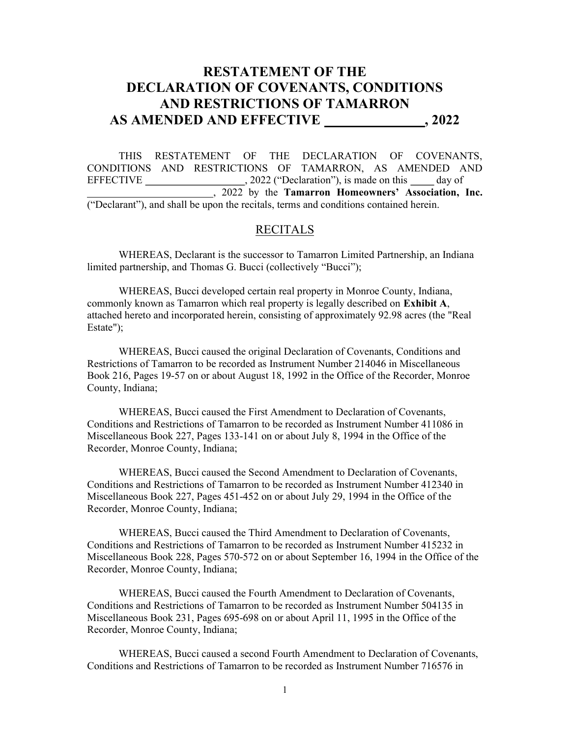# RESTATEMENT OF THE DECLARATION OF COVENANTS, CONDITIONS AND RESTRICTIONS OF TAMARRON AS AMENDED AND EFFECTIVE , 2022

THIS RESTATEMENT OF THE DECLARATION OF COVENANTS, CONDITIONS AND RESTRICTIONS OF TAMARRON, AS AMENDED AND EFFECTIVE \_\_\_\_\_\_\_\_\_\_\_\_\_\_\_\_\_\_\_\_\_, 2022 ("Declaration"), is made on this \_\_\_\_\_ day of **EXECUTE:** 2022 by the Tamarron Homeowners' Association, Inc. ("Declarant"), and shall be upon the recitals, terms and conditions contained herein.

# RECITALS

 WHEREAS, Declarant is the successor to Tamarron Limited Partnership, an Indiana limited partnership, and Thomas G. Bucci (collectively "Bucci");

WHEREAS, Bucci developed certain real property in Monroe County, Indiana, commonly known as Tamarron which real property is legally described on Exhibit A, attached hereto and incorporated herein, consisting of approximately 92.98 acres (the "Real Estate");

WHEREAS, Bucci caused the original Declaration of Covenants, Conditions and Restrictions of Tamarron to be recorded as Instrument Number 214046 in Miscellaneous Book 216, Pages 19-57 on or about August 18, 1992 in the Office of the Recorder, Monroe County, Indiana;

WHEREAS, Bucci caused the First Amendment to Declaration of Covenants, Conditions and Restrictions of Tamarron to be recorded as Instrument Number 411086 in Miscellaneous Book 227, Pages 133-141 on or about July 8, 1994 in the Office of the Recorder, Monroe County, Indiana;

WHEREAS, Bucci caused the Second Amendment to Declaration of Covenants, Conditions and Restrictions of Tamarron to be recorded as Instrument Number 412340 in Miscellaneous Book 227, Pages 451-452 on or about July 29, 1994 in the Office of the Recorder, Monroe County, Indiana;

WHEREAS, Bucci caused the Third Amendment to Declaration of Covenants, Conditions and Restrictions of Tamarron to be recorded as Instrument Number 415232 in Miscellaneous Book 228, Pages 570-572 on or about September 16, 1994 in the Office of the Recorder, Monroe County, Indiana;

WHEREAS, Bucci caused the Fourth Amendment to Declaration of Covenants, Conditions and Restrictions of Tamarron to be recorded as Instrument Number 504135 in Miscellaneous Book 231, Pages 695-698 on or about April 11, 1995 in the Office of the Recorder, Monroe County, Indiana;

WHEREAS, Bucci caused a second Fourth Amendment to Declaration of Covenants, Conditions and Restrictions of Tamarron to be recorded as Instrument Number 716576 in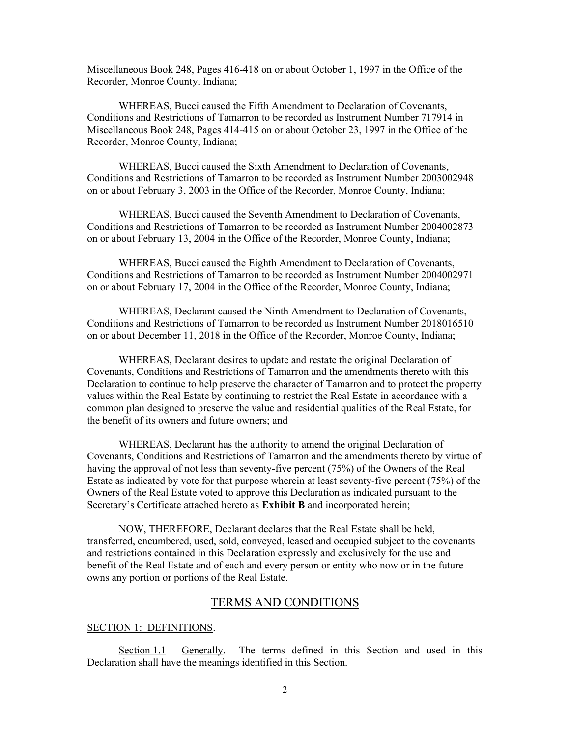Miscellaneous Book 248, Pages 416-418 on or about October 1, 1997 in the Office of the Recorder, Monroe County, Indiana;

WHEREAS, Bucci caused the Fifth Amendment to Declaration of Covenants, Conditions and Restrictions of Tamarron to be recorded as Instrument Number 717914 in Miscellaneous Book 248, Pages 414-415 on or about October 23, 1997 in the Office of the Recorder, Monroe County, Indiana;

WHEREAS, Bucci caused the Sixth Amendment to Declaration of Covenants, Conditions and Restrictions of Tamarron to be recorded as Instrument Number 2003002948 on or about February 3, 2003 in the Office of the Recorder, Monroe County, Indiana;

WHEREAS, Bucci caused the Seventh Amendment to Declaration of Covenants, Conditions and Restrictions of Tamarron to be recorded as Instrument Number 2004002873 on or about February 13, 2004 in the Office of the Recorder, Monroe County, Indiana;

WHEREAS, Bucci caused the Eighth Amendment to Declaration of Covenants, Conditions and Restrictions of Tamarron to be recorded as Instrument Number 2004002971 on or about February 17, 2004 in the Office of the Recorder, Monroe County, Indiana;

WHEREAS, Declarant caused the Ninth Amendment to Declaration of Covenants, Conditions and Restrictions of Tamarron to be recorded as Instrument Number 2018016510 on or about December 11, 2018 in the Office of the Recorder, Monroe County, Indiana;

WHEREAS, Declarant desires to update and restate the original Declaration of Covenants, Conditions and Restrictions of Tamarron and the amendments thereto with this Declaration to continue to help preserve the character of Tamarron and to protect the property values within the Real Estate by continuing to restrict the Real Estate in accordance with a common plan designed to preserve the value and residential qualities of the Real Estate, for the benefit of its owners and future owners; and

WHEREAS, Declarant has the authority to amend the original Declaration of Covenants, Conditions and Restrictions of Tamarron and the amendments thereto by virtue of having the approval of not less than seventy-five percent (75%) of the Owners of the Real Estate as indicated by vote for that purpose wherein at least seventy-five percent (75%) of the Owners of the Real Estate voted to approve this Declaration as indicated pursuant to the Secretary's Certificate attached hereto as Exhibit B and incorporated herein;

 NOW, THEREFORE, Declarant declares that the Real Estate shall be held, transferred, encumbered, used, sold, conveyed, leased and occupied subject to the covenants and restrictions contained in this Declaration expressly and exclusively for the use and benefit of the Real Estate and of each and every person or entity who now or in the future owns any portion or portions of the Real Estate.

## TERMS AND CONDITIONS

## SECTION 1: DEFINITIONS.

 Section 1.1 Generally. The terms defined in this Section and used in this Declaration shall have the meanings identified in this Section.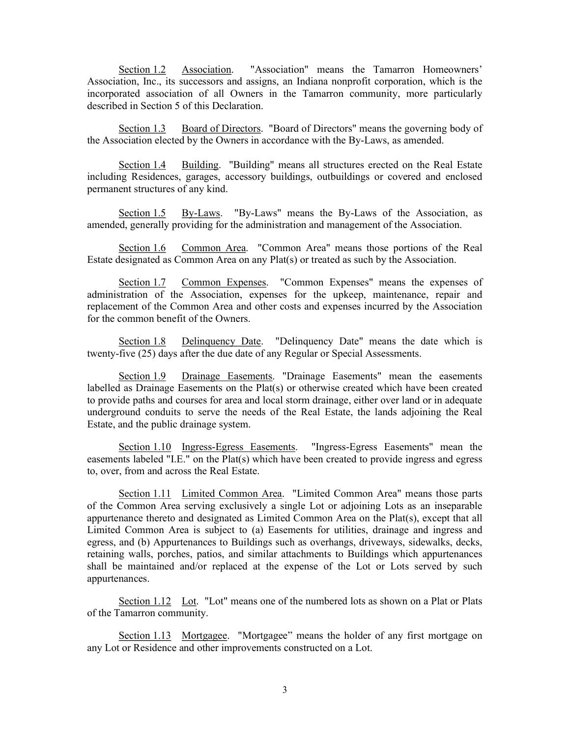Section 1.2 Association. "Association" means the Tamarron Homeowners' Association, Inc., its successors and assigns, an Indiana nonprofit corporation, which is the incorporated association of all Owners in the Tamarron community, more particularly described in Section 5 of this Declaration.

Section 1.3 Board of Directors. "Board of Directors" means the governing body of the Association elected by the Owners in accordance with the By-Laws, as amended.

Section 1.4 Building. "Building" means all structures erected on the Real Estate including Residences, garages, accessory buildings, outbuildings or covered and enclosed permanent structures of any kind.

Section 1.5 By-Laws. "By-Laws" means the By-Laws of the Association, as amended, generally providing for the administration and management of the Association.

Section 1.6 Common Area. "Common Area" means those portions of the Real Estate designated as Common Area on any Plat(s) or treated as such by the Association.

Section 1.7 Common Expenses. "Common Expenses" means the expenses of administration of the Association, expenses for the upkeep, maintenance, repair and replacement of the Common Area and other costs and expenses incurred by the Association for the common benefit of the Owners.

Section 1.8 Delinquency Date. "Delinquency Date" means the date which is twenty-five (25) days after the due date of any Regular or Special Assessments.

Section 1.9 Drainage Easements. "Drainage Easements" mean the easements labelled as Drainage Easements on the Plat(s) or otherwise created which have been created to provide paths and courses for area and local storm drainage, either over land or in adequate underground conduits to serve the needs of the Real Estate, the lands adjoining the Real Estate, and the public drainage system.

Section 1.10 Ingress-Egress Easements. "Ingress-Egress Easements" mean the easements labeled "I.E." on the Plat(s) which have been created to provide ingress and egress to, over, from and across the Real Estate.

Section 1.11 Limited Common Area. "Limited Common Area" means those parts of the Common Area serving exclusively a single Lot or adjoining Lots as an inseparable appurtenance thereto and designated as Limited Common Area on the Plat(s), except that all Limited Common Area is subject to (a) Easements for utilities, drainage and ingress and egress, and (b) Appurtenances to Buildings such as overhangs, driveways, sidewalks, decks, retaining walls, porches, patios, and similar attachments to Buildings which appurtenances shall be maintained and/or replaced at the expense of the Lot or Lots served by such appurtenances.

Section 1.12 Lot. "Lot" means one of the numbered lots as shown on a Plat or Plats of the Tamarron community.

Section 1.13 Mortgagee. "Mortgagee" means the holder of any first mortgage on any Lot or Residence and other improvements constructed on a Lot.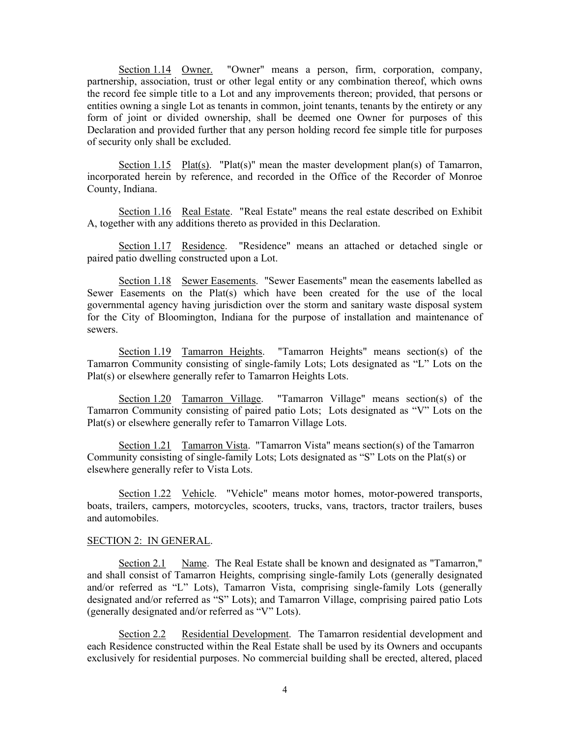Section 1.14 Owner. "Owner" means a person, firm, corporation, company, partnership, association, trust or other legal entity or any combination thereof, which owns the record fee simple title to a Lot and any improvements thereon; provided, that persons or entities owning a single Lot as tenants in common, joint tenants, tenants by the entirety or any form of joint or divided ownership, shall be deemed one Owner for purposes of this Declaration and provided further that any person holding record fee simple title for purposes of security only shall be excluded.

Section 1.15 Plat(s). "Plat(s)" mean the master development plan(s) of Tamarron, incorporated herein by reference, and recorded in the Office of the Recorder of Monroe County, Indiana.

Section 1.16 Real Estate. "Real Estate" means the real estate described on Exhibit A, together with any additions thereto as provided in this Declaration.

Section 1.17 Residence. "Residence" means an attached or detached single or paired patio dwelling constructed upon a Lot.

Section 1.18 Sewer Easements. "Sewer Easements" mean the easements labelled as Sewer Easements on the Plat(s) which have been created for the use of the local governmental agency having jurisdiction over the storm and sanitary waste disposal system for the City of Bloomington, Indiana for the purpose of installation and maintenance of sewers.

Section 1.19 Tamarron Heights. "Tamarron Heights" means section(s) of the Tamarron Community consisting of single-family Lots; Lots designated as "L" Lots on the Plat(s) or elsewhere generally refer to Tamarron Heights Lots.

Section 1.20 Tamarron Village. "Tamarron Village" means section(s) of the Tamarron Community consisting of paired patio Lots; Lots designated as "V" Lots on the Plat(s) or elsewhere generally refer to Tamarron Village Lots.

Section 1.21 Tamarron Vista. "Tamarron Vista" means section(s) of the Tamarron Community consisting of single-family Lots; Lots designated as "S" Lots on the Plat(s) or elsewhere generally refer to Vista Lots.

Section 1.22 Vehicle. "Vehicle" means motor homes, motor-powered transports, boats, trailers, campers, motorcycles, scooters, trucks, vans, tractors, tractor trailers, buses and automobiles.

## SECTION 2: IN GENERAL.

Section 2.1 Name. The Real Estate shall be known and designated as "Tamarron," and shall consist of Tamarron Heights, comprising single-family Lots (generally designated and/or referred as "L" Lots), Tamarron Vista, comprising single-family Lots (generally designated and/or referred as "S" Lots); and Tamarron Village, comprising paired patio Lots (generally designated and/or referred as "V" Lots).

Section 2.2 Residential Development. The Tamarron residential development and each Residence constructed within the Real Estate shall be used by its Owners and occupants exclusively for residential purposes. No commercial building shall be erected, altered, placed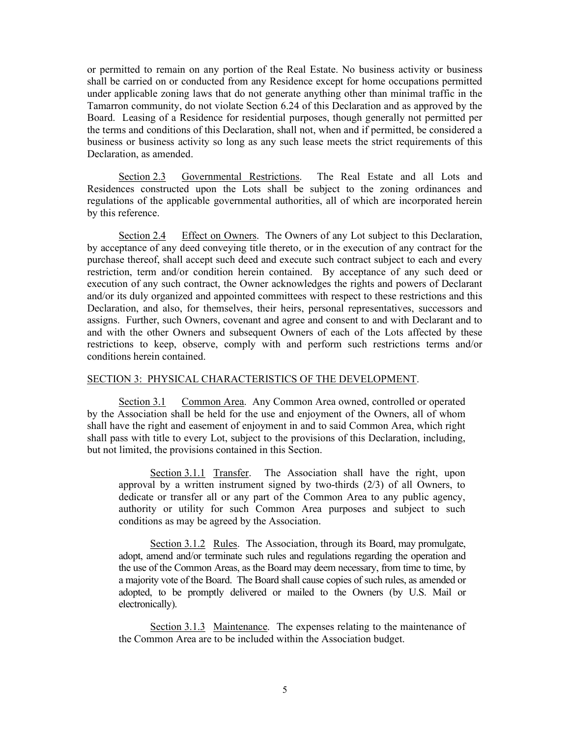or permitted to remain on any portion of the Real Estate. No business activity or business shall be carried on or conducted from any Residence except for home occupations permitted under applicable zoning laws that do not generate anything other than minimal traffic in the Tamarron community, do not violate Section 6.24 of this Declaration and as approved by the Board. Leasing of a Residence for residential purposes, though generally not permitted per the terms and conditions of this Declaration, shall not, when and if permitted, be considered a business or business activity so long as any such lease meets the strict requirements of this Declaration, as amended.

Section 2.3 Governmental Restrictions. The Real Estate and all Lots and Residences constructed upon the Lots shall be subject to the zoning ordinances and regulations of the applicable governmental authorities, all of which are incorporated herein by this reference.

Section 2.4 Effect on Owners. The Owners of any Lot subject to this Declaration, by acceptance of any deed conveying title thereto, or in the execution of any contract for the purchase thereof, shall accept such deed and execute such contract subject to each and every restriction, term and/or condition herein contained. By acceptance of any such deed or execution of any such contract, the Owner acknowledges the rights and powers of Declarant and/or its duly organized and appointed committees with respect to these restrictions and this Declaration, and also, for themselves, their heirs, personal representatives, successors and assigns. Further, such Owners, covenant and agree and consent to and with Declarant and to and with the other Owners and subsequent Owners of each of the Lots affected by these restrictions to keep, observe, comply with and perform such restrictions terms and/or conditions herein contained.

## SECTION 3: PHYSICAL CHARACTERISTICS OF THE DEVELOPMENT.

Section 3.1 Common Area. Any Common Area owned, controlled or operated by the Association shall be held for the use and enjoyment of the Owners, all of whom shall have the right and easement of enjoyment in and to said Common Area, which right shall pass with title to every Lot, subject to the provisions of this Declaration, including, but not limited, the provisions contained in this Section.

Section 3.1.1 Transfer. The Association shall have the right, upon approval by a written instrument signed by two-thirds (2/3) of all Owners, to dedicate or transfer all or any part of the Common Area to any public agency, authority or utility for such Common Area purposes and subject to such conditions as may be agreed by the Association.

Section 3.1.2 Rules. The Association, through its Board, may promulgate, adopt, amend and/or terminate such rules and regulations regarding the operation and the use of the Common Areas, as the Board may deem necessary, from time to time, by a majority vote of the Board. The Board shall cause copies of such rules, as amended or adopted, to be promptly delivered or mailed to the Owners (by U.S. Mail or electronically).

Section 3.1.3 Maintenance. The expenses relating to the maintenance of the Common Area are to be included within the Association budget.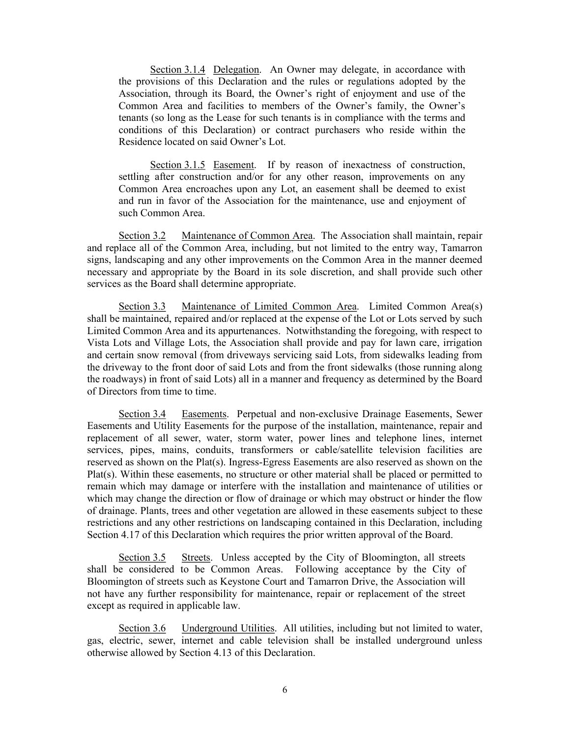Section 3.1.4 Delegation. An Owner may delegate, in accordance with the provisions of this Declaration and the rules or regulations adopted by the Association, through its Board, the Owner's right of enjoyment and use of the Common Area and facilities to members of the Owner's family, the Owner's tenants (so long as the Lease for such tenants is in compliance with the terms and conditions of this Declaration) or contract purchasers who reside within the Residence located on said Owner's Lot.

Section 3.1.5 Easement. If by reason of inexactness of construction, settling after construction and/or for any other reason, improvements on any Common Area encroaches upon any Lot, an easement shall be deemed to exist and run in favor of the Association for the maintenance, use and enjoyment of such Common Area.

Section 3.2 Maintenance of Common Area. The Association shall maintain, repair and replace all of the Common Area, including, but not limited to the entry way, Tamarron signs, landscaping and any other improvements on the Common Area in the manner deemed necessary and appropriate by the Board in its sole discretion, and shall provide such other services as the Board shall determine appropriate.

Section 3.3 Maintenance of Limited Common Area. Limited Common Area(s) shall be maintained, repaired and/or replaced at the expense of the Lot or Lots served by such Limited Common Area and its appurtenances. Notwithstanding the foregoing, with respect to Vista Lots and Village Lots, the Association shall provide and pay for lawn care, irrigation and certain snow removal (from driveways servicing said Lots, from sidewalks leading from the driveway to the front door of said Lots and from the front sidewalks (those running along the roadways) in front of said Lots) all in a manner and frequency as determined by the Board of Directors from time to time.

Section 3.4 Easements. Perpetual and non-exclusive Drainage Easements, Sewer Easements and Utility Easements for the purpose of the installation, maintenance, repair and replacement of all sewer, water, storm water, power lines and telephone lines, internet services, pipes, mains, conduits, transformers or cable/satellite television facilities are reserved as shown on the Plat(s). Ingress-Egress Easements are also reserved as shown on the Plat(s). Within these easements, no structure or other material shall be placed or permitted to remain which may damage or interfere with the installation and maintenance of utilities or which may change the direction or flow of drainage or which may obstruct or hinder the flow of drainage. Plants, trees and other vegetation are allowed in these easements subject to these restrictions and any other restrictions on landscaping contained in this Declaration, including Section 4.17 of this Declaration which requires the prior written approval of the Board.

Section 3.5 Streets. Unless accepted by the City of Bloomington, all streets shall be considered to be Common Areas. Following acceptance by the City of Bloomington of streets such as Keystone Court and Tamarron Drive, the Association will not have any further responsibility for maintenance, repair or replacement of the street except as required in applicable law.

Section 3.6 Underground Utilities. All utilities, including but not limited to water, gas, electric, sewer, internet and cable television shall be installed underground unless otherwise allowed by Section 4.13 of this Declaration.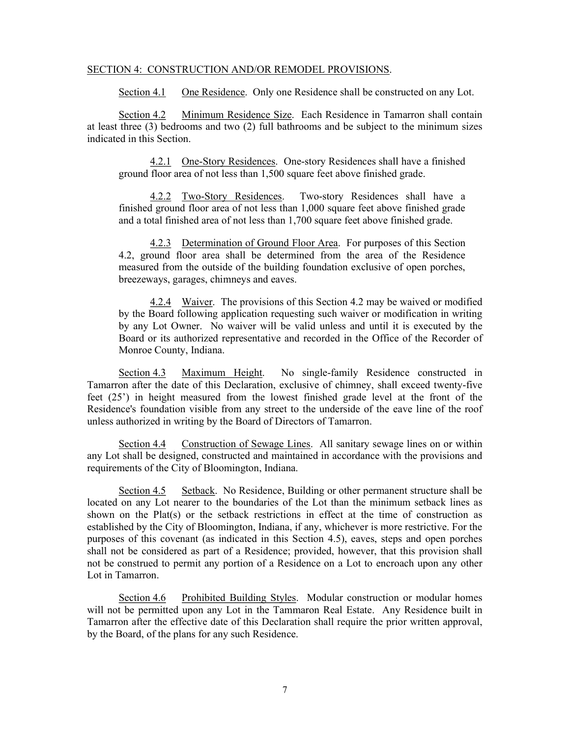## SECTION 4: CONSTRUCTION AND/OR REMODEL PROVISIONS.

Section 4.1 One Residence. Only one Residence shall be constructed on any Lot.

Section 4.2 Minimum Residence Size. Each Residence in Tamarron shall contain at least three (3) bedrooms and two (2) full bathrooms and be subject to the minimum sizes indicated in this Section.

4.2.1 One-Story Residences. One-story Residences shall have a finished ground floor area of not less than 1,500 square feet above finished grade.

4.2.2 Two-Story Residences. Two-story Residences shall have a finished ground floor area of not less than 1,000 square feet above finished grade and a total finished area of not less than 1,700 square feet above finished grade.

4.2.3 Determination of Ground Floor Area. For purposes of this Section 4.2, ground floor area shall be determined from the area of the Residence measured from the outside of the building foundation exclusive of open porches, breezeways, garages, chimneys and eaves.

4.2.4 Waiver. The provisions of this Section 4.2 may be waived or modified by the Board following application requesting such waiver or modification in writing by any Lot Owner. No waiver will be valid unless and until it is executed by the Board or its authorized representative and recorded in the Office of the Recorder of Monroe County, Indiana.

Section 4.3 Maximum Height. No single-family Residence constructed in Tamarron after the date of this Declaration, exclusive of chimney, shall exceed twenty-five feet (25') in height measured from the lowest finished grade level at the front of the Residence's foundation visible from any street to the underside of the eave line of the roof unless authorized in writing by the Board of Directors of Tamarron.

Section 4.4 Construction of Sewage Lines. All sanitary sewage lines on or within any Lot shall be designed, constructed and maintained in accordance with the provisions and requirements of the City of Bloomington, Indiana.

Section 4.5 Setback. No Residence, Building or other permanent structure shall be located on any Lot nearer to the boundaries of the Lot than the minimum setback lines as shown on the Plat(s) or the setback restrictions in effect at the time of construction as established by the City of Bloomington, Indiana, if any, whichever is more restrictive. For the purposes of this covenant (as indicated in this Section 4.5), eaves, steps and open porches shall not be considered as part of a Residence; provided, however, that this provision shall not be construed to permit any portion of a Residence on a Lot to encroach upon any other Lot in Tamarron.

Section 4.6 Prohibited Building Styles. Modular construction or modular homes will not be permitted upon any Lot in the Tammaron Real Estate. Any Residence built in Tamarron after the effective date of this Declaration shall require the prior written approval, by the Board, of the plans for any such Residence.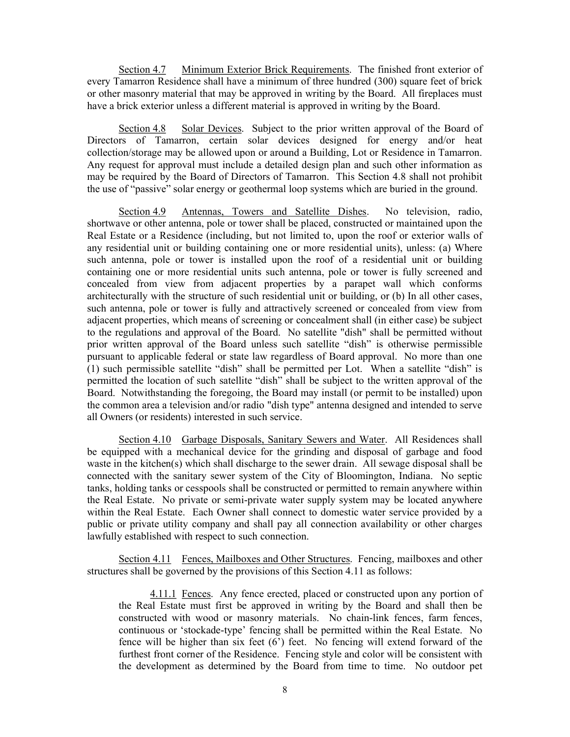Section 4.7 Minimum Exterior Brick Requirements. The finished front exterior of every Tamarron Residence shall have a minimum of three hundred (300) square feet of brick or other masonry material that may be approved in writing by the Board. All fireplaces must have a brick exterior unless a different material is approved in writing by the Board.

Section 4.8 Solar Devices. Subject to the prior written approval of the Board of Directors of Tamarron, certain solar devices designed for energy and/or heat collection/storage may be allowed upon or around a Building, Lot or Residence in Tamarron. Any request for approval must include a detailed design plan and such other information as may be required by the Board of Directors of Tamarron. This Section 4.8 shall not prohibit the use of "passive" solar energy or geothermal loop systems which are buried in the ground.

Section 4.9 Antennas, Towers and Satellite Dishes. No television, radio, shortwave or other antenna, pole or tower shall be placed, constructed or maintained upon the Real Estate or a Residence (including, but not limited to, upon the roof or exterior walls of any residential unit or building containing one or more residential units), unless: (a) Where such antenna, pole or tower is installed upon the roof of a residential unit or building containing one or more residential units such antenna, pole or tower is fully screened and concealed from view from adjacent properties by a parapet wall which conforms architecturally with the structure of such residential unit or building, or (b) In all other cases, such antenna, pole or tower is fully and attractively screened or concealed from view from adjacent properties, which means of screening or concealment shall (in either case) be subject to the regulations and approval of the Board. No satellite "dish" shall be permitted without prior written approval of the Board unless such satellite "dish" is otherwise permissible pursuant to applicable federal or state law regardless of Board approval. No more than one (1) such permissible satellite "dish" shall be permitted per Lot. When a satellite "dish" is permitted the location of such satellite "dish" shall be subject to the written approval of the Board. Notwithstanding the foregoing, the Board may install (or permit to be installed) upon the common area a television and/or radio "dish type" antenna designed and intended to serve all Owners (or residents) interested in such service.

Section 4.10 Garbage Disposals, Sanitary Sewers and Water. All Residences shall be equipped with a mechanical device for the grinding and disposal of garbage and food waste in the kitchen(s) which shall discharge to the sewer drain. All sewage disposal shall be connected with the sanitary sewer system of the City of Bloomington, Indiana. No septic tanks, holding tanks or cesspools shall be constructed or permitted to remain anywhere within the Real Estate. No private or semi-private water supply system may be located anywhere within the Real Estate. Each Owner shall connect to domestic water service provided by a public or private utility company and shall pay all connection availability or other charges lawfully established with respect to such connection.

Section 4.11 Fences, Mailboxes and Other Structures. Fencing, mailboxes and other structures shall be governed by the provisions of this Section 4.11 as follows:

4.11.1 Fences. Any fence erected, placed or constructed upon any portion of the Real Estate must first be approved in writing by the Board and shall then be constructed with wood or masonry materials. No chain-link fences, farm fences, continuous or 'stockade-type' fencing shall be permitted within the Real Estate. No fence will be higher than six feet (6') feet. No fencing will extend forward of the furthest front corner of the Residence. Fencing style and color will be consistent with the development as determined by the Board from time to time. No outdoor pet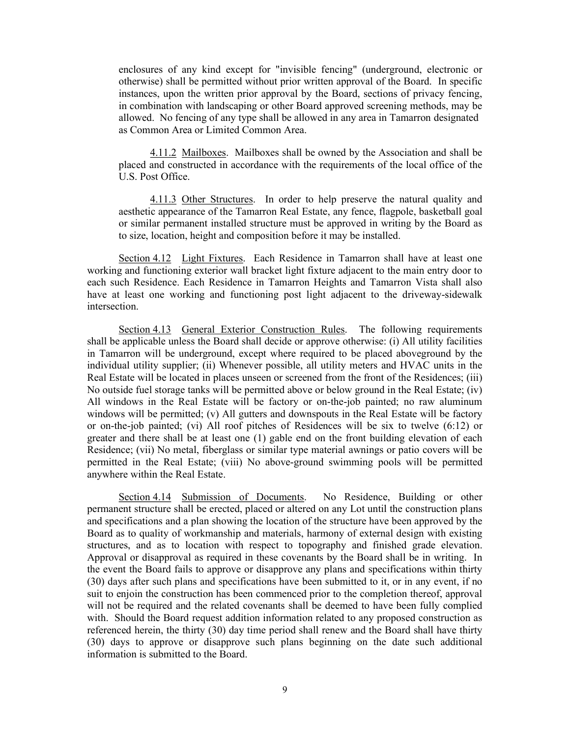enclosures of any kind except for "invisible fencing" (underground, electronic or otherwise) shall be permitted without prior written approval of the Board. In specific instances, upon the written prior approval by the Board, sections of privacy fencing, in combination with landscaping or other Board approved screening methods, may be allowed. No fencing of any type shall be allowed in any area in Tamarron designated as Common Area or Limited Common Area.

4.11.2 Mailboxes. Mailboxes shall be owned by the Association and shall be placed and constructed in accordance with the requirements of the local office of the U.S. Post Office.

4.11.3 Other Structures. In order to help preserve the natural quality and aesthetic appearance of the Tamarron Real Estate, any fence, flagpole, basketball goal or similar permanent installed structure must be approved in writing by the Board as to size, location, height and composition before it may be installed.

Section 4.12 Light Fixtures. Each Residence in Tamarron shall have at least one working and functioning exterior wall bracket light fixture adjacent to the main entry door to each such Residence. Each Residence in Tamarron Heights and Tamarron Vista shall also have at least one working and functioning post light adjacent to the driveway-sidewalk intersection.

Section 4.13 General Exterior Construction Rules. The following requirements shall be applicable unless the Board shall decide or approve otherwise: (i) All utility facilities in Tamarron will be underground, except where required to be placed aboveground by the individual utility supplier; (ii) Whenever possible, all utility meters and HVAC units in the Real Estate will be located in places unseen or screened from the front of the Residences; (iii) No outside fuel storage tanks will be permitted above or below ground in the Real Estate; (iv) All windows in the Real Estate will be factory or on-the-job painted; no raw aluminum windows will be permitted; (v) All gutters and downspouts in the Real Estate will be factory or on-the-job painted; (vi) All roof pitches of Residences will be six to twelve (6:12) or greater and there shall be at least one (1) gable end on the front building elevation of each Residence; (vii) No metal, fiberglass or similar type material awnings or patio covers will be permitted in the Real Estate; (viii) No above-ground swimming pools will be permitted anywhere within the Real Estate.

Section 4.14 Submission of Documents. No Residence, Building or other permanent structure shall be erected, placed or altered on any Lot until the construction plans and specifications and a plan showing the location of the structure have been approved by the Board as to quality of workmanship and materials, harmony of external design with existing structures, and as to location with respect to topography and finished grade elevation. Approval or disapproval as required in these covenants by the Board shall be in writing. In the event the Board fails to approve or disapprove any plans and specifications within thirty (30) days after such plans and specifications have been submitted to it, or in any event, if no suit to enjoin the construction has been commenced prior to the completion thereof, approval will not be required and the related covenants shall be deemed to have been fully complied with. Should the Board request addition information related to any proposed construction as referenced herein, the thirty (30) day time period shall renew and the Board shall have thirty (30) days to approve or disapprove such plans beginning on the date such additional information is submitted to the Board.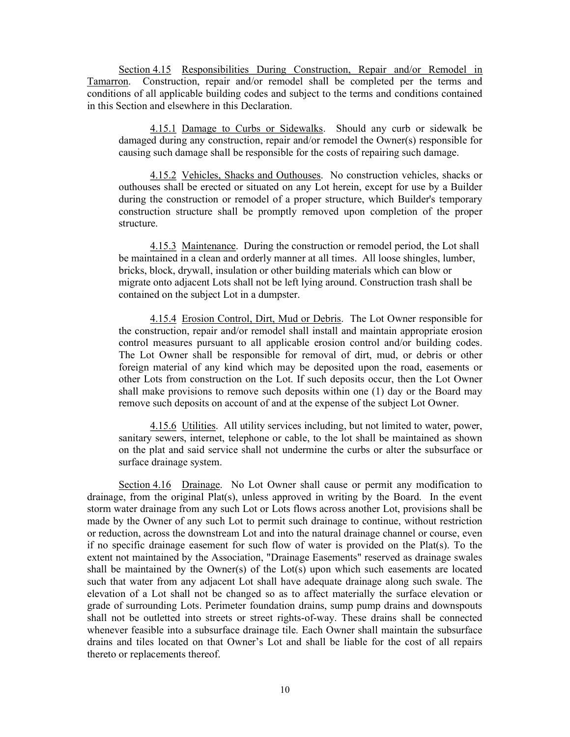Section 4.15 Responsibilities During Construction, Repair and/or Remodel in Tamarron. Construction, repair and/or remodel shall be completed per the terms and conditions of all applicable building codes and subject to the terms and conditions contained in this Section and elsewhere in this Declaration.

4.15.1 Damage to Curbs or Sidewalks. Should any curb or sidewalk be damaged during any construction, repair and/or remodel the Owner(s) responsible for causing such damage shall be responsible for the costs of repairing such damage.

4.15.2 Vehicles, Shacks and Outhouses. No construction vehicles, shacks or outhouses shall be erected or situated on any Lot herein, except for use by a Builder during the construction or remodel of a proper structure, which Builder's temporary construction structure shall be promptly removed upon completion of the proper structure.

4.15.3 Maintenance. During the construction or remodel period, the Lot shall be maintained in a clean and orderly manner at all times. All loose shingles, lumber, bricks, block, drywall, insulation or other building materials which can blow or migrate onto adjacent Lots shall not be left lying around. Construction trash shall be contained on the subject Lot in a dumpster.

4.15.4 Erosion Control, Dirt, Mud or Debris. The Lot Owner responsible for the construction, repair and/or remodel shall install and maintain appropriate erosion control measures pursuant to all applicable erosion control and/or building codes. The Lot Owner shall be responsible for removal of dirt, mud, or debris or other foreign material of any kind which may be deposited upon the road, easements or other Lots from construction on the Lot. If such deposits occur, then the Lot Owner shall make provisions to remove such deposits within one (1) day or the Board may remove such deposits on account of and at the expense of the subject Lot Owner.

 4.15.6 Utilities. All utility services including, but not limited to water, power, sanitary sewers, internet, telephone or cable, to the lot shall be maintained as shown on the plat and said service shall not undermine the curbs or alter the subsurface or surface drainage system.

Section 4.16 Drainage. No Lot Owner shall cause or permit any modification to drainage, from the original Plat(s), unless approved in writing by the Board. In the event storm water drainage from any such Lot or Lots flows across another Lot, provisions shall be made by the Owner of any such Lot to permit such drainage to continue, without restriction or reduction, across the downstream Lot and into the natural drainage channel or course, even if no specific drainage easement for such flow of water is provided on the Plat(s). To the extent not maintained by the Association, "Drainage Easements" reserved as drainage swales shall be maintained by the Owner(s) of the Lot(s) upon which such easements are located such that water from any adjacent Lot shall have adequate drainage along such swale. The elevation of a Lot shall not be changed so as to affect materially the surface elevation or grade of surrounding Lots. Perimeter foundation drains, sump pump drains and downspouts shall not be outletted into streets or street rights-of-way. These drains shall be connected whenever feasible into a subsurface drainage tile. Each Owner shall maintain the subsurface drains and tiles located on that Owner's Lot and shall be liable for the cost of all repairs thereto or replacements thereof.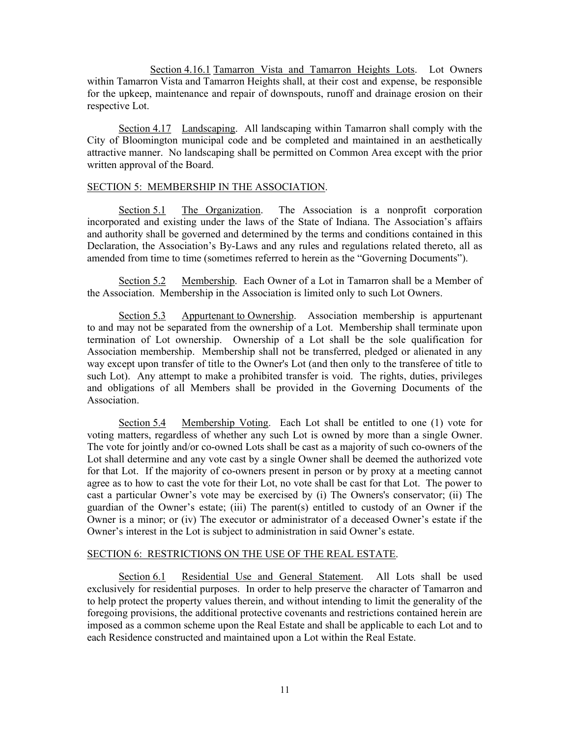Section 4.16.1 Tamarron Vista and Tamarron Heights Lots. Lot Owners within Tamarron Vista and Tamarron Heights shall, at their cost and expense, be responsible for the upkeep, maintenance and repair of downspouts, runoff and drainage erosion on their respective Lot.

Section 4.17 Landscaping. All landscaping within Tamarron shall comply with the City of Bloomington municipal code and be completed and maintained in an aesthetically attractive manner. No landscaping shall be permitted on Common Area except with the prior written approval of the Board.

## SECTION 5: MEMBERSHIP IN THE ASSOCIATION.

Section 5.1 The Organization. The Association is a nonprofit corporation incorporated and existing under the laws of the State of Indiana. The Association's affairs and authority shall be governed and determined by the terms and conditions contained in this Declaration, the Association's By-Laws and any rules and regulations related thereto, all as amended from time to time (sometimes referred to herein as the "Governing Documents").

Section 5.2 Membership. Each Owner of a Lot in Tamarron shall be a Member of the Association. Membership in the Association is limited only to such Lot Owners.

Section 5.3 Appurtenant to Ownership. Association membership is appurtenant to and may not be separated from the ownership of a Lot. Membership shall terminate upon termination of Lot ownership. Ownership of a Lot shall be the sole qualification for Association membership. Membership shall not be transferred, pledged or alienated in any way except upon transfer of title to the Owner's Lot (and then only to the transferee of title to such Lot). Any attempt to make a prohibited transfer is void. The rights, duties, privileges and obligations of all Members shall be provided in the Governing Documents of the Association.

Section 5.4 Membership Voting. Each Lot shall be entitled to one (1) vote for voting matters, regardless of whether any such Lot is owned by more than a single Owner. The vote for jointly and/or co-owned Lots shall be cast as a majority of such co-owners of the Lot shall determine and any vote cast by a single Owner shall be deemed the authorized vote for that Lot. If the majority of co-owners present in person or by proxy at a meeting cannot agree as to how to cast the vote for their Lot, no vote shall be cast for that Lot. The power to cast a particular Owner's vote may be exercised by (i) The Owners's conservator; (ii) The guardian of the Owner's estate; (iii) The parent(s) entitled to custody of an Owner if the Owner is a minor; or (iv) The executor or administrator of a deceased Owner's estate if the Owner's interest in the Lot is subject to administration in said Owner's estate.

## SECTION 6: RESTRICTIONS ON THE USE OF THE REAL ESTATE.

 Section 6.1 Residential Use and General Statement. All Lots shall be used exclusively for residential purposes. In order to help preserve the character of Tamarron and to help protect the property values therein, and without intending to limit the generality of the foregoing provisions, the additional protective covenants and restrictions contained herein are imposed as a common scheme upon the Real Estate and shall be applicable to each Lot and to each Residence constructed and maintained upon a Lot within the Real Estate.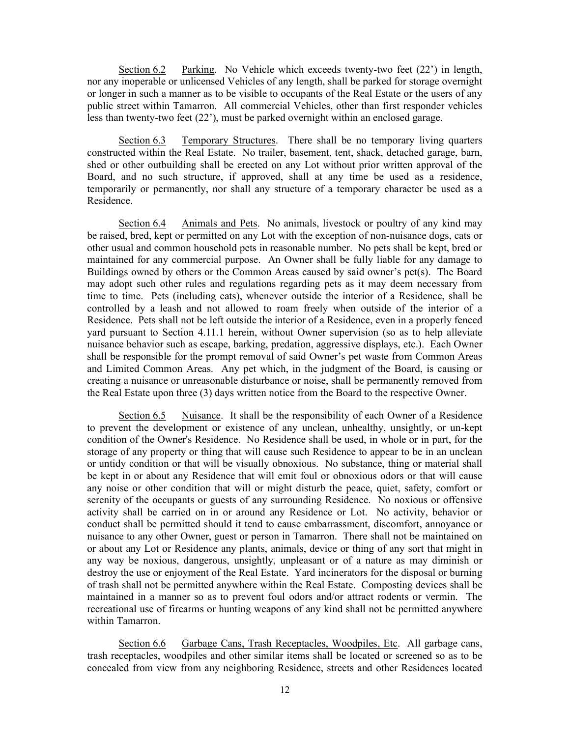Section 6.2 Parking. No Vehicle which exceeds twenty-two feet (22') in length, nor any inoperable or unlicensed Vehicles of any length, shall be parked for storage overnight or longer in such a manner as to be visible to occupants of the Real Estate or the users of any public street within Tamarron. All commercial Vehicles, other than first responder vehicles less than twenty-two feet (22'), must be parked overnight within an enclosed garage.

Section 6.3 Temporary Structures. There shall be no temporary living quarters constructed within the Real Estate. No trailer, basement, tent, shack, detached garage, barn, shed or other outbuilding shall be erected on any Lot without prior written approval of the Board, and no such structure, if approved, shall at any time be used as a residence, temporarily or permanently, nor shall any structure of a temporary character be used as a Residence.

Section 6.4 Animals and Pets. No animals, livestock or poultry of any kind may be raised, bred, kept or permitted on any Lot with the exception of non-nuisance dogs, cats or other usual and common household pets in reasonable number. No pets shall be kept, bred or maintained for any commercial purpose. An Owner shall be fully liable for any damage to Buildings owned by others or the Common Areas caused by said owner's pet(s). The Board may adopt such other rules and regulations regarding pets as it may deem necessary from time to time. Pets (including cats), whenever outside the interior of a Residence, shall be controlled by a leash and not allowed to roam freely when outside of the interior of a Residence. Pets shall not be left outside the interior of a Residence, even in a properly fenced yard pursuant to Section 4.11.1 herein, without Owner supervision (so as to help alleviate nuisance behavior such as escape, barking, predation, aggressive displays, etc.). Each Owner shall be responsible for the prompt removal of said Owner's pet waste from Common Areas and Limited Common Areas. Any pet which, in the judgment of the Board, is causing or creating a nuisance or unreasonable disturbance or noise, shall be permanently removed from the Real Estate upon three (3) days written notice from the Board to the respective Owner.

Section 6.5 Nuisance. It shall be the responsibility of each Owner of a Residence to prevent the development or existence of any unclean, unhealthy, unsightly, or un-kept condition of the Owner's Residence. No Residence shall be used, in whole or in part, for the storage of any property or thing that will cause such Residence to appear to be in an unclean or untidy condition or that will be visually obnoxious. No substance, thing or material shall be kept in or about any Residence that will emit foul or obnoxious odors or that will cause any noise or other condition that will or might disturb the peace, quiet, safety, comfort or serenity of the occupants or guests of any surrounding Residence. No noxious or offensive activity shall be carried on in or around any Residence or Lot. No activity, behavior or conduct shall be permitted should it tend to cause embarrassment, discomfort, annoyance or nuisance to any other Owner, guest or person in Tamarron. There shall not be maintained on or about any Lot or Residence any plants, animals, device or thing of any sort that might in any way be noxious, dangerous, unsightly, unpleasant or of a nature as may diminish or destroy the use or enjoyment of the Real Estate. Yard incinerators for the disposal or burning of trash shall not be permitted anywhere within the Real Estate. Composting devices shall be maintained in a manner so as to prevent foul odors and/or attract rodents or vermin. The recreational use of firearms or hunting weapons of any kind shall not be permitted anywhere within Tamarron.

Section 6.6 Garbage Cans, Trash Receptacles, Woodpiles, Etc. All garbage cans, trash receptacles, woodpiles and other similar items shall be located or screened so as to be concealed from view from any neighboring Residence, streets and other Residences located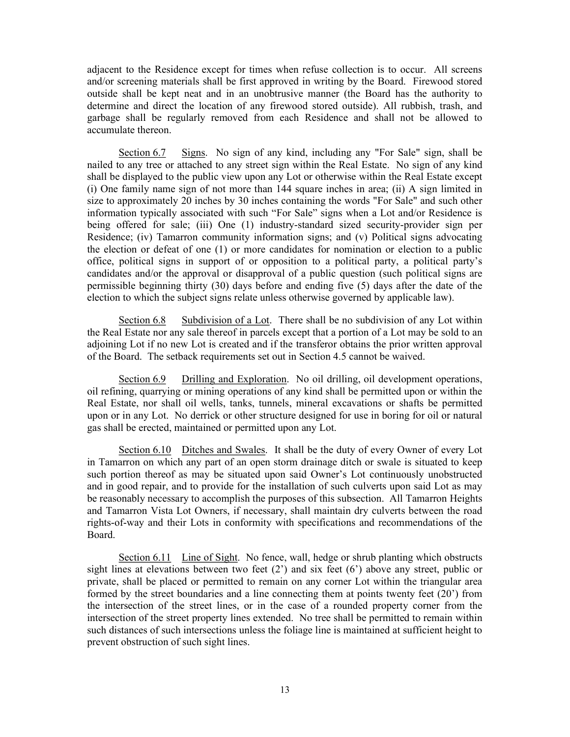adjacent to the Residence except for times when refuse collection is to occur. All screens and/or screening materials shall be first approved in writing by the Board. Firewood stored outside shall be kept neat and in an unobtrusive manner (the Board has the authority to determine and direct the location of any firewood stored outside). All rubbish, trash, and garbage shall be regularly removed from each Residence and shall not be allowed to accumulate thereon.

Section 6.7 Signs. No sign of any kind, including any "For Sale" sign, shall be nailed to any tree or attached to any street sign within the Real Estate. No sign of any kind shall be displayed to the public view upon any Lot or otherwise within the Real Estate except (i) One family name sign of not more than 144 square inches in area; (ii) A sign limited in size to approximately 20 inches by 30 inches containing the words "For Sale" and such other information typically associated with such "For Sale" signs when a Lot and/or Residence is being offered for sale; (iii) One (1) industry-standard sized security-provider sign per Residence; (iv) Tamarron community information signs; and (v) Political signs advocating the election or defeat of one (1) or more candidates for nomination or election to a public office, political signs in support of or opposition to a political party, a political party's candidates and/or the approval or disapproval of a public question (such political signs are permissible beginning thirty (30) days before and ending five (5) days after the date of the election to which the subject signs relate unless otherwise governed by applicable law).

Section 6.8 Subdivision of a Lot. There shall be no subdivision of any Lot within the Real Estate nor any sale thereof in parcels except that a portion of a Lot may be sold to an adjoining Lot if no new Lot is created and if the transferor obtains the prior written approval of the Board. The setback requirements set out in Section 4.5 cannot be waived.

Section 6.9 Drilling and Exploration. No oil drilling, oil development operations, oil refining, quarrying or mining operations of any kind shall be permitted upon or within the Real Estate, nor shall oil wells, tanks, tunnels, mineral excavations or shafts be permitted upon or in any Lot. No derrick or other structure designed for use in boring for oil or natural gas shall be erected, maintained or permitted upon any Lot.

Section 6.10 Ditches and Swales. It shall be the duty of every Owner of every Lot in Tamarron on which any part of an open storm drainage ditch or swale is situated to keep such portion thereof as may be situated upon said Owner's Lot continuously unobstructed and in good repair, and to provide for the installation of such culverts upon said Lot as may be reasonably necessary to accomplish the purposes of this subsection. All Tamarron Heights and Tamarron Vista Lot Owners, if necessary, shall maintain dry culverts between the road rights-of-way and their Lots in conformity with specifications and recommendations of the Board.

Section 6.11 Line of Sight. No fence, wall, hedge or shrub planting which obstructs sight lines at elevations between two feet (2') and six feet (6') above any street, public or private, shall be placed or permitted to remain on any corner Lot within the triangular area formed by the street boundaries and a line connecting them at points twenty feet (20') from the intersection of the street lines, or in the case of a rounded property corner from the intersection of the street property lines extended. No tree shall be permitted to remain within such distances of such intersections unless the foliage line is maintained at sufficient height to prevent obstruction of such sight lines.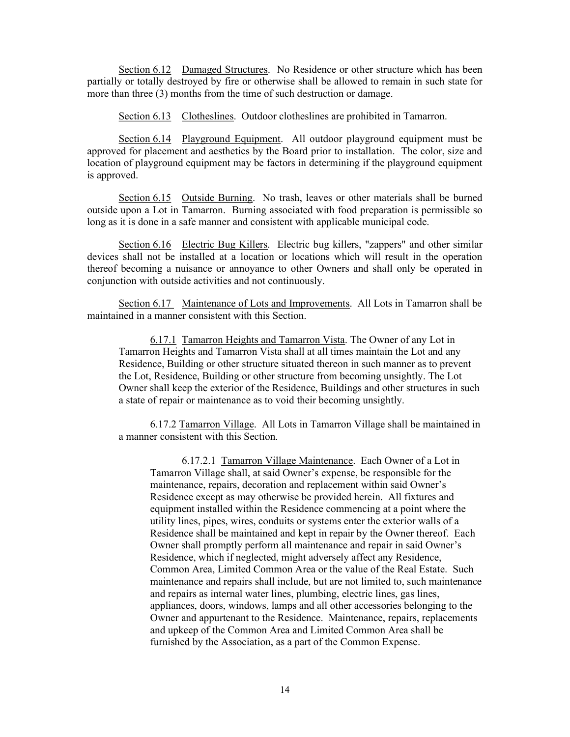Section 6.12 Damaged Structures. No Residence or other structure which has been partially or totally destroyed by fire or otherwise shall be allowed to remain in such state for more than three (3) months from the time of such destruction or damage.

Section 6.13 Clotheslines. Outdoor clotheslines are prohibited in Tamarron.

Section 6.14 Playground Equipment. All outdoor playground equipment must be approved for placement and aesthetics by the Board prior to installation. The color, size and location of playground equipment may be factors in determining if the playground equipment is approved.

Section 6.15 Outside Burning. No trash, leaves or other materials shall be burned outside upon a Lot in Tamarron. Burning associated with food preparation is permissible so long as it is done in a safe manner and consistent with applicable municipal code.

Section 6.16 Electric Bug Killers. Electric bug killers, "zappers" and other similar devices shall not be installed at a location or locations which will result in the operation thereof becoming a nuisance or annoyance to other Owners and shall only be operated in conjunction with outside activities and not continuously.

Section 6.17 Maintenance of Lots and Improvements. All Lots in Tamarron shall be maintained in a manner consistent with this Section.

6.17.1 Tamarron Heights and Tamarron Vista. The Owner of any Lot in Tamarron Heights and Tamarron Vista shall at all times maintain the Lot and any Residence, Building or other structure situated thereon in such manner as to prevent the Lot, Residence, Building or other structure from becoming unsightly. The Lot Owner shall keep the exterior of the Residence, Buildings and other structures in such a state of repair or maintenance as to void their becoming unsightly.

6.17.2 Tamarron Village. All Lots in Tamarron Village shall be maintained in a manner consistent with this Section.

6.17.2.1 Tamarron Village Maintenance. Each Owner of a Lot in Tamarron Village shall, at said Owner's expense, be responsible for the maintenance, repairs, decoration and replacement within said Owner's Residence except as may otherwise be provided herein. All fixtures and equipment installed within the Residence commencing at a point where the utility lines, pipes, wires, conduits or systems enter the exterior walls of a Residence shall be maintained and kept in repair by the Owner thereof. Each Owner shall promptly perform all maintenance and repair in said Owner's Residence, which if neglected, might adversely affect any Residence, Common Area, Limited Common Area or the value of the Real Estate. Such maintenance and repairs shall include, but are not limited to, such maintenance and repairs as internal water lines, plumbing, electric lines, gas lines, appliances, doors, windows, lamps and all other accessories belonging to the Owner and appurtenant to the Residence. Maintenance, repairs, replacements and upkeep of the Common Area and Limited Common Area shall be furnished by the Association, as a part of the Common Expense.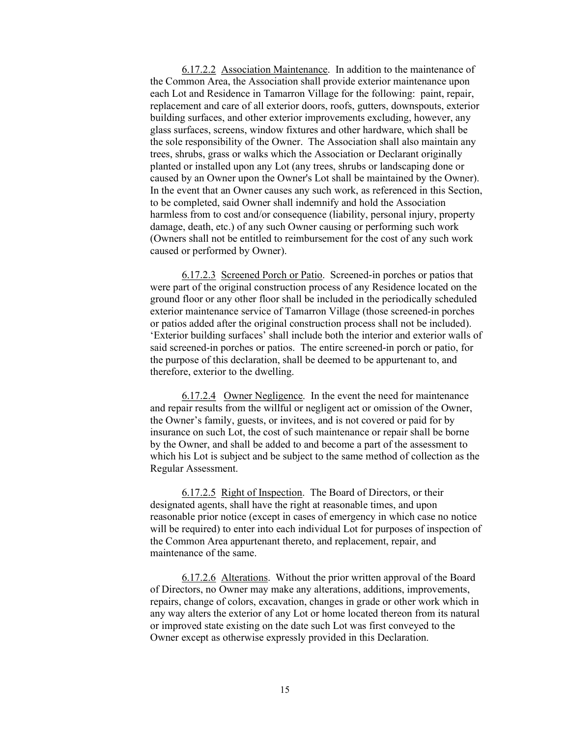6.17.2.2 Association Maintenance. In addition to the maintenance of the Common Area, the Association shall provide exterior maintenance upon each Lot and Residence in Tamarron Village for the following: paint, repair, replacement and care of all exterior doors, roofs, gutters, downspouts, exterior building surfaces, and other exterior improvements excluding, however, any glass surfaces, screens, window fixtures and other hardware, which shall be the sole responsibility of the Owner. The Association shall also maintain any trees, shrubs, grass or walks which the Association or Declarant originally planted or installed upon any Lot (any trees, shrubs or landscaping done or caused by an Owner upon the Owner's Lot shall be maintained by the Owner). In the event that an Owner causes any such work, as referenced in this Section, to be completed, said Owner shall indemnify and hold the Association harmless from to cost and/or consequence (liability, personal injury, property damage, death, etc.) of any such Owner causing or performing such work (Owners shall not be entitled to reimbursement for the cost of any such work caused or performed by Owner).

6.17.2.3 Screened Porch or Patio. Screened-in porches or patios that were part of the original construction process of any Residence located on the ground floor or any other floor shall be included in the periodically scheduled exterior maintenance service of Tamarron Village (those screened-in porches or patios added after the original construction process shall not be included). 'Exterior building surfaces' shall include both the interior and exterior walls of said screened-in porches or patios. The entire screened-in porch or patio, for the purpose of this declaration, shall be deemed to be appurtenant to, and therefore, exterior to the dwelling.

6.17.2.4 Owner Negligence. In the event the need for maintenance and repair results from the willful or negligent act or omission of the Owner, the Owner's family, guests, or invitees, and is not covered or paid for by insurance on such Lot, the cost of such maintenance or repair shall be borne by the Owner, and shall be added to and become a part of the assessment to which his Lot is subject and be subject to the same method of collection as the Regular Assessment.

6.17.2.5 Right of Inspection. The Board of Directors, or their designated agents, shall have the right at reasonable times, and upon reasonable prior notice (except in cases of emergency in which case no notice will be required) to enter into each individual Lot for purposes of inspection of the Common Area appurtenant thereto, and replacement, repair, and maintenance of the same.

6.17.2.6 Alterations. Without the prior written approval of the Board of Directors, no Owner may make any alterations, additions, improvements, repairs, change of colors, excavation, changes in grade or other work which in any way alters the exterior of any Lot or home located thereon from its natural or improved state existing on the date such Lot was first conveyed to the Owner except as otherwise expressly provided in this Declaration.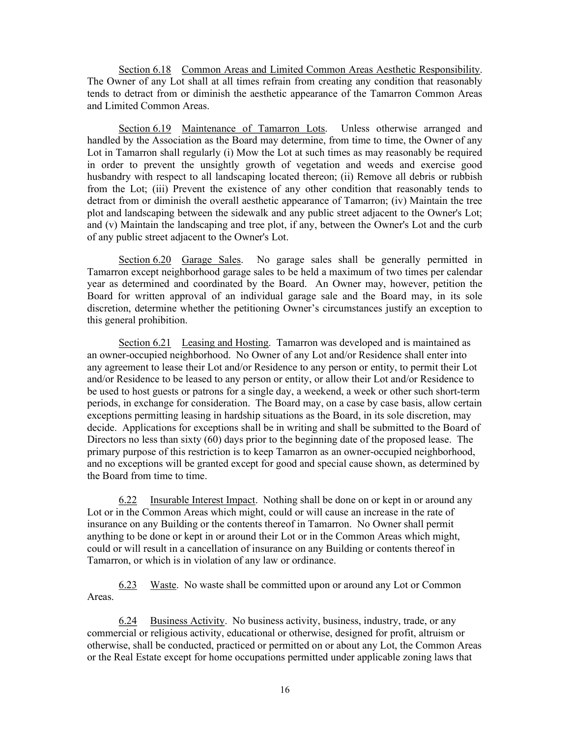Section 6.18 Common Areas and Limited Common Areas Aesthetic Responsibility. The Owner of any Lot shall at all times refrain from creating any condition that reasonably tends to detract from or diminish the aesthetic appearance of the Tamarron Common Areas and Limited Common Areas.

Section 6.19 Maintenance of Tamarron Lots. Unless otherwise arranged and handled by the Association as the Board may determine, from time to time, the Owner of any Lot in Tamarron shall regularly (i) Mow the Lot at such times as may reasonably be required in order to prevent the unsightly growth of vegetation and weeds and exercise good husbandry with respect to all landscaping located thereon; (ii) Remove all debris or rubbish from the Lot; (iii) Prevent the existence of any other condition that reasonably tends to detract from or diminish the overall aesthetic appearance of Tamarron; (iv) Maintain the tree plot and landscaping between the sidewalk and any public street adjacent to the Owner's Lot; and (v) Maintain the landscaping and tree plot, if any, between the Owner's Lot and the curb of any public street adjacent to the Owner's Lot.

Section 6.20 Garage Sales. No garage sales shall be generally permitted in Tamarron except neighborhood garage sales to be held a maximum of two times per calendar year as determined and coordinated by the Board. An Owner may, however, petition the Board for written approval of an individual garage sale and the Board may, in its sole discretion, determine whether the petitioning Owner's circumstances justify an exception to this general prohibition.

Section 6.21 Leasing and Hosting. Tamarron was developed and is maintained as an owner-occupied neighborhood. No Owner of any Lot and/or Residence shall enter into any agreement to lease their Lot and/or Residence to any person or entity, to permit their Lot and/or Residence to be leased to any person or entity, or allow their Lot and/or Residence to be used to host guests or patrons for a single day, a weekend, a week or other such short-term periods, in exchange for consideration. The Board may, on a case by case basis, allow certain exceptions permitting leasing in hardship situations as the Board, in its sole discretion, may decide. Applications for exceptions shall be in writing and shall be submitted to the Board of Directors no less than sixty (60) days prior to the beginning date of the proposed lease. The primary purpose of this restriction is to keep Tamarron as an owner-occupied neighborhood, and no exceptions will be granted except for good and special cause shown, as determined by the Board from time to time.

6.22 Insurable Interest Impact. Nothing shall be done on or kept in or around any Lot or in the Common Areas which might, could or will cause an increase in the rate of insurance on any Building or the contents thereof in Tamarron. No Owner shall permit anything to be done or kept in or around their Lot or in the Common Areas which might, could or will result in a cancellation of insurance on any Building or contents thereof in Tamarron, or which is in violation of any law or ordinance.

6.23 Waste. No waste shall be committed upon or around any Lot or Common Areas.

6.24 Business Activity. No business activity, business, industry, trade, or any commercial or religious activity, educational or otherwise, designed for profit, altruism or otherwise, shall be conducted, practiced or permitted on or about any Lot, the Common Areas or the Real Estate except for home occupations permitted under applicable zoning laws that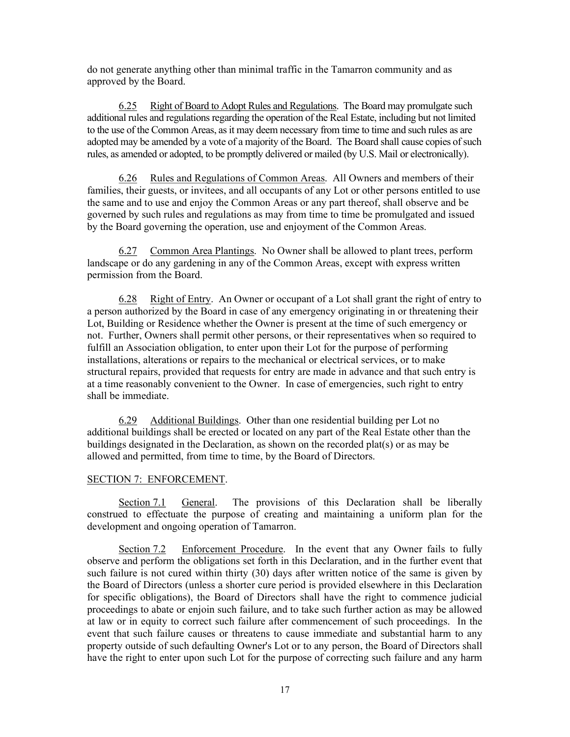do not generate anything other than minimal traffic in the Tamarron community and as approved by the Board.

6.25 Right of Board to Adopt Rules and Regulations. The Board may promulgate such additional rules and regulations regarding the operation of the Real Estate, including but not limited to the use of the Common Areas, as it may deem necessary from time to time and such rules as are adopted may be amended by a vote of a majority of the Board. The Board shall cause copies of such rules, as amended or adopted, to be promptly delivered or mailed (by U.S. Mail or electronically).

6.26 Rules and Regulations of Common Areas. All Owners and members of their families, their guests, or invitees, and all occupants of any Lot or other persons entitled to use the same and to use and enjoy the Common Areas or any part thereof, shall observe and be governed by such rules and regulations as may from time to time be promulgated and issued by the Board governing the operation, use and enjoyment of the Common Areas.

6.27 Common Area Plantings. No Owner shall be allowed to plant trees, perform landscape or do any gardening in any of the Common Areas, except with express written permission from the Board.

6.28 Right of Entry. An Owner or occupant of a Lot shall grant the right of entry to a person authorized by the Board in case of any emergency originating in or threatening their Lot, Building or Residence whether the Owner is present at the time of such emergency or not. Further, Owners shall permit other persons, or their representatives when so required to fulfill an Association obligation, to enter upon their Lot for the purpose of performing installations, alterations or repairs to the mechanical or electrical services, or to make structural repairs, provided that requests for entry are made in advance and that such entry is at a time reasonably convenient to the Owner. In case of emergencies, such right to entry shall be immediate.

6.29 Additional Buildings. Other than one residential building per Lot no additional buildings shall be erected or located on any part of the Real Estate other than the buildings designated in the Declaration, as shown on the recorded plat(s) or as may be allowed and permitted, from time to time, by the Board of Directors.

## SECTION 7: ENFORCEMENT.

Section 7.1 General. The provisions of this Declaration shall be liberally construed to effectuate the purpose of creating and maintaining a uniform plan for the development and ongoing operation of Tamarron.

 Section 7.2 Enforcement Procedure. In the event that any Owner fails to fully observe and perform the obligations set forth in this Declaration, and in the further event that such failure is not cured within thirty (30) days after written notice of the same is given by the Board of Directors (unless a shorter cure period is provided elsewhere in this Declaration for specific obligations), the Board of Directors shall have the right to commence judicial proceedings to abate or enjoin such failure, and to take such further action as may be allowed at law or in equity to correct such failure after commencement of such proceedings. In the event that such failure causes or threatens to cause immediate and substantial harm to any property outside of such defaulting Owner's Lot or to any person, the Board of Directors shall have the right to enter upon such Lot for the purpose of correcting such failure and any harm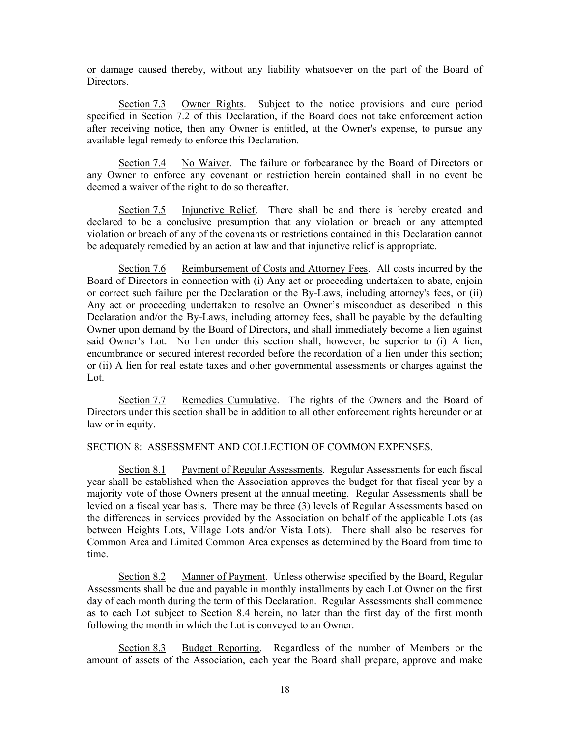or damage caused thereby, without any liability whatsoever on the part of the Board of Directors.

 Section 7.3 Owner Rights. Subject to the notice provisions and cure period specified in Section 7.2 of this Declaration, if the Board does not take enforcement action after receiving notice, then any Owner is entitled, at the Owner's expense, to pursue any available legal remedy to enforce this Declaration.

Section 7.4 No Waiver. The failure or forbearance by the Board of Directors or any Owner to enforce any covenant or restriction herein contained shall in no event be deemed a waiver of the right to do so thereafter.

Section 7.5 Injunctive Relief. There shall be and there is hereby created and declared to be a conclusive presumption that any violation or breach or any attempted violation or breach of any of the covenants or restrictions contained in this Declaration cannot be adequately remedied by an action at law and that injunctive relief is appropriate.

Section 7.6 Reimbursement of Costs and Attorney Fees. All costs incurred by the Board of Directors in connection with (i) Any act or proceeding undertaken to abate, enjoin or correct such failure per the Declaration or the By-Laws, including attorney's fees, or (ii) Any act or proceeding undertaken to resolve an Owner's misconduct as described in this Declaration and/or the By-Laws, including attorney fees, shall be payable by the defaulting Owner upon demand by the Board of Directors, and shall immediately become a lien against said Owner's Lot. No lien under this section shall, however, be superior to (i) A lien, encumbrance or secured interest recorded before the recordation of a lien under this section; or (ii) A lien for real estate taxes and other governmental assessments or charges against the Lot.

 Section 7.7 Remedies Cumulative. The rights of the Owners and the Board of Directors under this section shall be in addition to all other enforcement rights hereunder or at law or in equity.

## SECTION 8: ASSESSMENT AND COLLECTION OF COMMON EXPENSES.

Section 8.1 Payment of Regular Assessments. Regular Assessments for each fiscal year shall be established when the Association approves the budget for that fiscal year by a majority vote of those Owners present at the annual meeting. Regular Assessments shall be levied on a fiscal year basis. There may be three (3) levels of Regular Assessments based on the differences in services provided by the Association on behalf of the applicable Lots (as between Heights Lots, Village Lots and/or Vista Lots). There shall also be reserves for Common Area and Limited Common Area expenses as determined by the Board from time to time.

Section 8.2 Manner of Payment. Unless otherwise specified by the Board, Regular Assessments shall be due and payable in monthly installments by each Lot Owner on the first day of each month during the term of this Declaration. Regular Assessments shall commence as to each Lot subject to Section 8.4 herein, no later than the first day of the first month following the month in which the Lot is conveyed to an Owner.

Section 8.3 Budget Reporting. Regardless of the number of Members or the amount of assets of the Association, each year the Board shall prepare, approve and make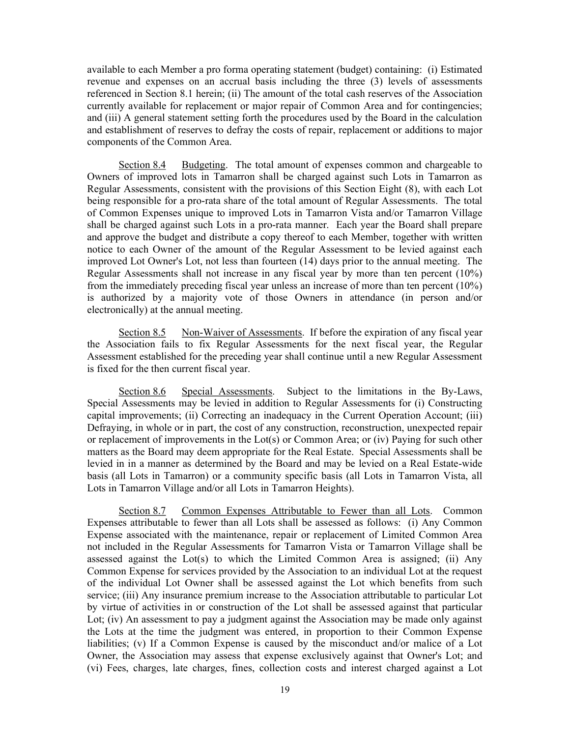available to each Member a pro forma operating statement (budget) containing: (i) Estimated revenue and expenses on an accrual basis including the three (3) levels of assessments referenced in Section 8.1 herein; (ii) The amount of the total cash reserves of the Association currently available for replacement or major repair of Common Area and for contingencies; and (iii) A general statement setting forth the procedures used by the Board in the calculation and establishment of reserves to defray the costs of repair, replacement or additions to major components of the Common Area.

Section 8.4 Budgeting. The total amount of expenses common and chargeable to Owners of improved lots in Tamarron shall be charged against such Lots in Tamarron as Regular Assessments, consistent with the provisions of this Section Eight (8), with each Lot being responsible for a pro-rata share of the total amount of Regular Assessments. The total of Common Expenses unique to improved Lots in Tamarron Vista and/or Tamarron Village shall be charged against such Lots in a pro-rata manner. Each year the Board shall prepare and approve the budget and distribute a copy thereof to each Member, together with written notice to each Owner of the amount of the Regular Assessment to be levied against each improved Lot Owner's Lot, not less than fourteen (14) days prior to the annual meeting. The Regular Assessments shall not increase in any fiscal year by more than ten percent (10%) from the immediately preceding fiscal year unless an increase of more than ten percent (10%) is authorized by a majority vote of those Owners in attendance (in person and/or electronically) at the annual meeting.

Section 8.5 Non-Waiver of Assessments. If before the expiration of any fiscal year the Association fails to fix Regular Assessments for the next fiscal year, the Regular Assessment established for the preceding year shall continue until a new Regular Assessment is fixed for the then current fiscal year.

Section 8.6 Special Assessments. Subject to the limitations in the By-Laws, Special Assessments may be levied in addition to Regular Assessments for (i) Constructing capital improvements; (ii) Correcting an inadequacy in the Current Operation Account; (iii) Defraying, in whole or in part, the cost of any construction, reconstruction, unexpected repair or replacement of improvements in the Lot(s) or Common Area; or (iv) Paying for such other matters as the Board may deem appropriate for the Real Estate. Special Assessments shall be levied in in a manner as determined by the Board and may be levied on a Real Estate-wide basis (all Lots in Tamarron) or a community specific basis (all Lots in Tamarron Vista, all Lots in Tamarron Village and/or all Lots in Tamarron Heights).

Section 8.7 Common Expenses Attributable to Fewer than all Lots. Common Expenses attributable to fewer than all Lots shall be assessed as follows: (i) Any Common Expense associated with the maintenance, repair or replacement of Limited Common Area not included in the Regular Assessments for Tamarron Vista or Tamarron Village shall be assessed against the Lot(s) to which the Limited Common Area is assigned; (ii) Any Common Expense for services provided by the Association to an individual Lot at the request of the individual Lot Owner shall be assessed against the Lot which benefits from such service; (iii) Any insurance premium increase to the Association attributable to particular Lot by virtue of activities in or construction of the Lot shall be assessed against that particular Lot; (iv) An assessment to pay a judgment against the Association may be made only against the Lots at the time the judgment was entered, in proportion to their Common Expense liabilities; (v) If a Common Expense is caused by the misconduct and/or malice of a Lot Owner, the Association may assess that expense exclusively against that Owner's Lot; and (vi) Fees, charges, late charges, fines, collection costs and interest charged against a Lot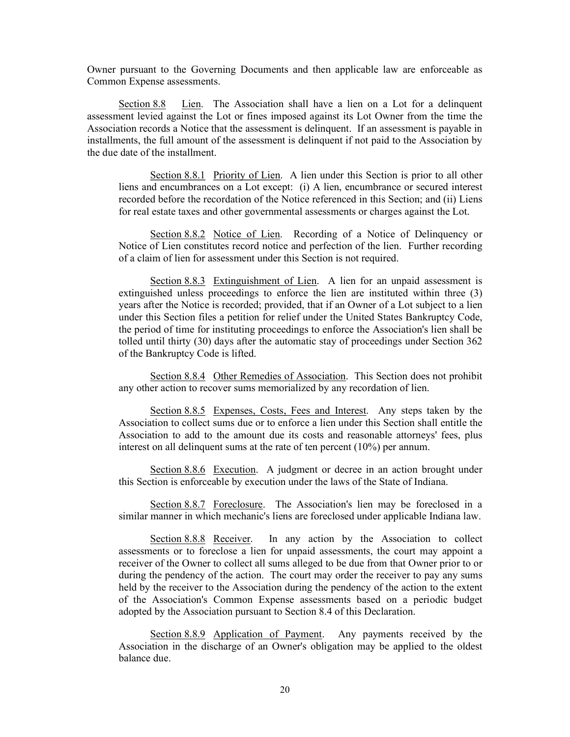Owner pursuant to the Governing Documents and then applicable law are enforceable as Common Expense assessments.

Section 8.8 Lien. The Association shall have a lien on a Lot for a delinquent assessment levied against the Lot or fines imposed against its Lot Owner from the time the Association records a Notice that the assessment is delinquent. If an assessment is payable in installments, the full amount of the assessment is delinquent if not paid to the Association by the due date of the installment.

Section 8.8.1 Priority of Lien. A lien under this Section is prior to all other liens and encumbrances on a Lot except: (i) A lien, encumbrance or secured interest recorded before the recordation of the Notice referenced in this Section; and (ii) Liens for real estate taxes and other governmental assessments or charges against the Lot.

 Section 8.8.2 Notice of Lien. Recording of a Notice of Delinquency or Notice of Lien constitutes record notice and perfection of the lien. Further recording of a claim of lien for assessment under this Section is not required.

 Section 8.8.3 Extinguishment of Lien. A lien for an unpaid assessment is extinguished unless proceedings to enforce the lien are instituted within three (3) years after the Notice is recorded; provided, that if an Owner of a Lot subject to a lien under this Section files a petition for relief under the United States Bankruptcy Code, the period of time for instituting proceedings to enforce the Association's lien shall be tolled until thirty (30) days after the automatic stay of proceedings under Section 362 of the Bankruptcy Code is lifted.

Section 8.8.4 Other Remedies of Association. This Section does not prohibit any other action to recover sums memorialized by any recordation of lien.

 Section 8.8.5 Expenses, Costs, Fees and Interest. Any steps taken by the Association to collect sums due or to enforce a lien under this Section shall entitle the Association to add to the amount due its costs and reasonable attorneys' fees, plus interest on all delinquent sums at the rate of ten percent (10%) per annum.

Section 8.8.6 Execution. A judgment or decree in an action brought under this Section is enforceable by execution under the laws of the State of Indiana.

 Section 8.8.7 Foreclosure. The Association's lien may be foreclosed in a similar manner in which mechanic's liens are foreclosed under applicable Indiana law.

 Section 8.8.8 Receiver. In any action by the Association to collect assessments or to foreclose a lien for unpaid assessments, the court may appoint a receiver of the Owner to collect all sums alleged to be due from that Owner prior to or during the pendency of the action. The court may order the receiver to pay any sums held by the receiver to the Association during the pendency of the action to the extent of the Association's Common Expense assessments based on a periodic budget adopted by the Association pursuant to Section 8.4 of this Declaration.

Section 8.8.9 Application of Payment. Any payments received by the Association in the discharge of an Owner's obligation may be applied to the oldest balance due.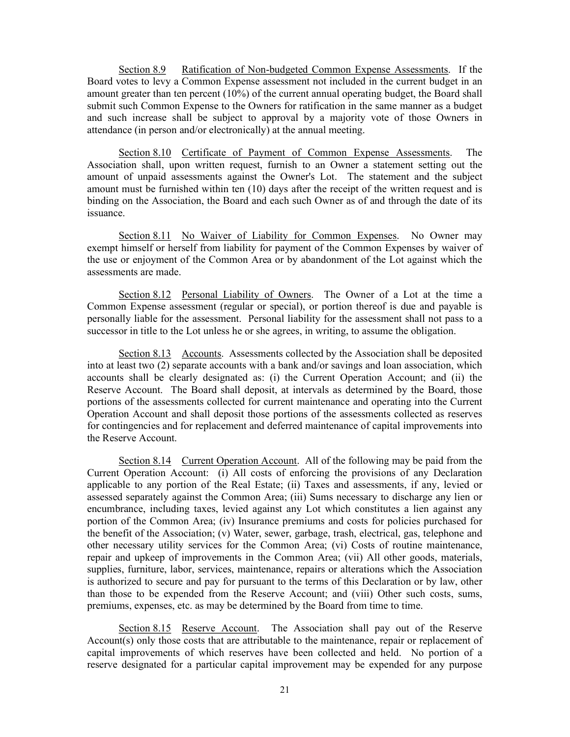Section 8.9 Ratification of Non-budgeted Common Expense Assessments. If the Board votes to levy a Common Expense assessment not included in the current budget in an amount greater than ten percent (10%) of the current annual operating budget, the Board shall submit such Common Expense to the Owners for ratification in the same manner as a budget and such increase shall be subject to approval by a majority vote of those Owners in attendance (in person and/or electronically) at the annual meeting.

Section 8.10 Certificate of Payment of Common Expense Assessments. The Association shall, upon written request, furnish to an Owner a statement setting out the amount of unpaid assessments against the Owner's Lot. The statement and the subject amount must be furnished within ten (10) days after the receipt of the written request and is binding on the Association, the Board and each such Owner as of and through the date of its issuance.

Section 8.11 No Waiver of Liability for Common Expenses. No Owner may exempt himself or herself from liability for payment of the Common Expenses by waiver of the use or enjoyment of the Common Area or by abandonment of the Lot against which the assessments are made.

Section 8.12 Personal Liability of Owners. The Owner of a Lot at the time a Common Expense assessment (regular or special), or portion thereof is due and payable is personally liable for the assessment. Personal liability for the assessment shall not pass to a successor in title to the Lot unless he or she agrees, in writing, to assume the obligation.

Section 8.13 Accounts. Assessments collected by the Association shall be deposited into at least two (2) separate accounts with a bank and/or savings and loan association, which accounts shall be clearly designated as: (i) the Current Operation Account; and (ii) the Reserve Account. The Board shall deposit, at intervals as determined by the Board, those portions of the assessments collected for current maintenance and operating into the Current Operation Account and shall deposit those portions of the assessments collected as reserves for contingencies and for replacement and deferred maintenance of capital improvements into the Reserve Account.

Section 8.14 Current Operation Account. All of the following may be paid from the Current Operation Account: (i) All costs of enforcing the provisions of any Declaration applicable to any portion of the Real Estate; (ii) Taxes and assessments, if any, levied or assessed separately against the Common Area; (iii) Sums necessary to discharge any lien or encumbrance, including taxes, levied against any Lot which constitutes a lien against any portion of the Common Area; (iv) Insurance premiums and costs for policies purchased for the benefit of the Association; (v) Water, sewer, garbage, trash, electrical, gas, telephone and other necessary utility services for the Common Area; (vi) Costs of routine maintenance, repair and upkeep of improvements in the Common Area; (vii) All other goods, materials, supplies, furniture, labor, services, maintenance, repairs or alterations which the Association is authorized to secure and pay for pursuant to the terms of this Declaration or by law, other than those to be expended from the Reserve Account; and (viii) Other such costs, sums, premiums, expenses, etc. as may be determined by the Board from time to time.

Section 8.15 Reserve Account. The Association shall pay out of the Reserve Account(s) only those costs that are attributable to the maintenance, repair or replacement of capital improvements of which reserves have been collected and held. No portion of a reserve designated for a particular capital improvement may be expended for any purpose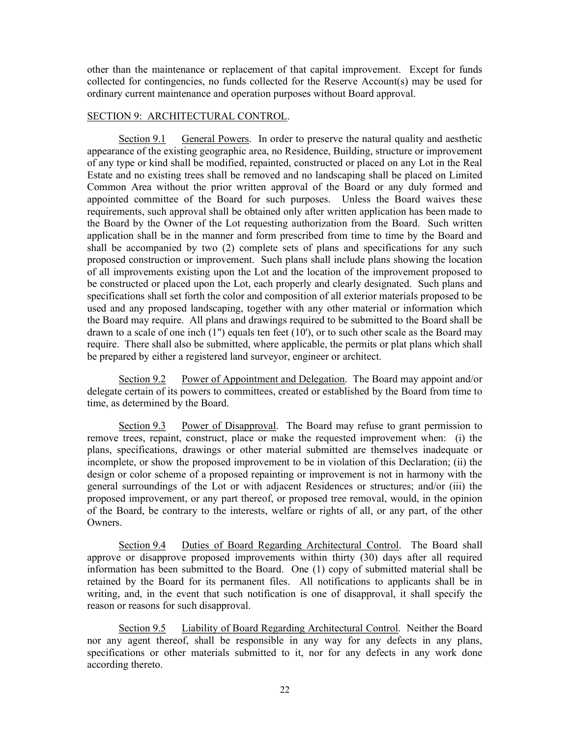other than the maintenance or replacement of that capital improvement. Except for funds collected for contingencies, no funds collected for the Reserve Account(s) may be used for ordinary current maintenance and operation purposes without Board approval.

## SECTION 9: ARCHITECTURAL CONTROL.

Section 9.1 General Powers. In order to preserve the natural quality and aesthetic appearance of the existing geographic area, no Residence, Building, structure or improvement of any type or kind shall be modified, repainted, constructed or placed on any Lot in the Real Estate and no existing trees shall be removed and no landscaping shall be placed on Limited Common Area without the prior written approval of the Board or any duly formed and appointed committee of the Board for such purposes. Unless the Board waives these requirements, such approval shall be obtained only after written application has been made to the Board by the Owner of the Lot requesting authorization from the Board. Such written application shall be in the manner and form prescribed from time to time by the Board and shall be accompanied by two (2) complete sets of plans and specifications for any such proposed construction or improvement. Such plans shall include plans showing the location of all improvements existing upon the Lot and the location of the improvement proposed to be constructed or placed upon the Lot, each properly and clearly designated. Such plans and specifications shall set forth the color and composition of all exterior materials proposed to be used and any proposed landscaping, together with any other material or information which the Board may require. All plans and drawings required to be submitted to the Board shall be drawn to a scale of one inch (1") equals ten feet (10'), or to such other scale as the Board may require. There shall also be submitted, where applicable, the permits or plat plans which shall be prepared by either a registered land surveyor, engineer or architect.

Section 9.2 Power of Appointment and Delegation. The Board may appoint and/or delegate certain of its powers to committees, created or established by the Board from time to time, as determined by the Board.

Section 9.3 Power of Disapproval. The Board may refuse to grant permission to remove trees, repaint, construct, place or make the requested improvement when: (i) the plans, specifications, drawings or other material submitted are themselves inadequate or incomplete, or show the proposed improvement to be in violation of this Declaration; (ii) the design or color scheme of a proposed repainting or improvement is not in harmony with the general surroundings of the Lot or with adjacent Residences or structures; and/or (iii) the proposed improvement, or any part thereof, or proposed tree removal, would, in the opinion of the Board, be contrary to the interests, welfare or rights of all, or any part, of the other Owners.

Section 9.4 Duties of Board Regarding Architectural Control. The Board shall approve or disapprove proposed improvements within thirty (30) days after all required information has been submitted to the Board. One (1) copy of submitted material shall be retained by the Board for its permanent files. All notifications to applicants shall be in writing, and, in the event that such notification is one of disapproval, it shall specify the reason or reasons for such disapproval.

Section 9.5 Liability of Board Regarding Architectural Control. Neither the Board nor any agent thereof, shall be responsible in any way for any defects in any plans, specifications or other materials submitted to it, nor for any defects in any work done according thereto.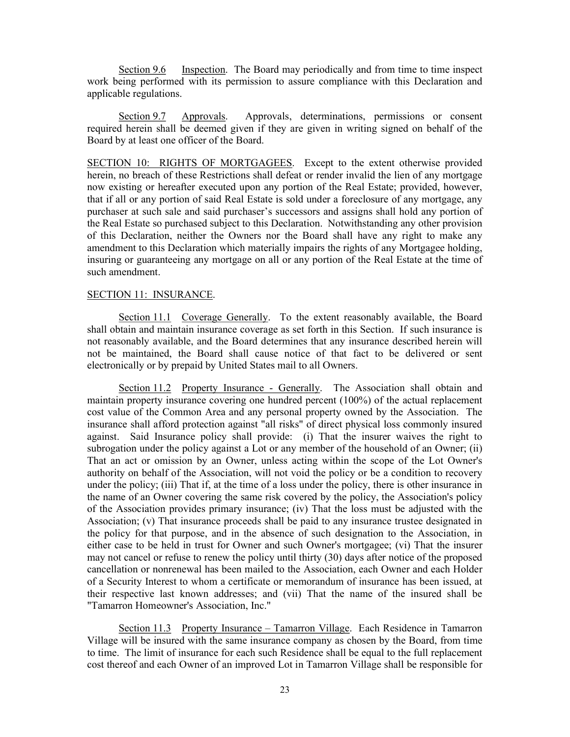Section 9.6 Inspection. The Board may periodically and from time to time inspect work being performed with its permission to assure compliance with this Declaration and applicable regulations.

Section 9.7 Approvals. Approvals, determinations, permissions or consent required herein shall be deemed given if they are given in writing signed on behalf of the Board by at least one officer of the Board.

SECTION 10: RIGHTS OF MORTGAGEES. Except to the extent otherwise provided herein, no breach of these Restrictions shall defeat or render invalid the lien of any mortgage now existing or hereafter executed upon any portion of the Real Estate; provided, however, that if all or any portion of said Real Estate is sold under a foreclosure of any mortgage, any purchaser at such sale and said purchaser's successors and assigns shall hold any portion of the Real Estate so purchased subject to this Declaration. Notwithstanding any other provision of this Declaration, neither the Owners nor the Board shall have any right to make any amendment to this Declaration which materially impairs the rights of any Mortgagee holding, insuring or guaranteeing any mortgage on all or any portion of the Real Estate at the time of such amendment.

## SECTION 11: INSURANCE.

Section 11.1 Coverage Generally. To the extent reasonably available, the Board shall obtain and maintain insurance coverage as set forth in this Section. If such insurance is not reasonably available, and the Board determines that any insurance described herein will not be maintained, the Board shall cause notice of that fact to be delivered or sent electronically or by prepaid by United States mail to all Owners.

Section 11.2 Property Insurance - Generally. The Association shall obtain and maintain property insurance covering one hundred percent (100%) of the actual replacement cost value of the Common Area and any personal property owned by the Association. The insurance shall afford protection against "all risks" of direct physical loss commonly insured against. Said Insurance policy shall provide: (i) That the insurer waives the right to subrogation under the policy against a Lot or any member of the household of an Owner; (ii) That an act or omission by an Owner, unless acting within the scope of the Lot Owner's authority on behalf of the Association, will not void the policy or be a condition to recovery under the policy; (iii) That if, at the time of a loss under the policy, there is other insurance in the name of an Owner covering the same risk covered by the policy, the Association's policy of the Association provides primary insurance; (iv) That the loss must be adjusted with the Association; (v) That insurance proceeds shall be paid to any insurance trustee designated in the policy for that purpose, and in the absence of such designation to the Association, in either case to be held in trust for Owner and such Owner's mortgagee; (vi) That the insurer may not cancel or refuse to renew the policy until thirty (30) days after notice of the proposed cancellation or nonrenewal has been mailed to the Association, each Owner and each Holder of a Security Interest to whom a certificate or memorandum of insurance has been issued, at their respective last known addresses; and (vii) That the name of the insured shall be "Tamarron Homeowner's Association, Inc."

Section 11.3 Property Insurance – Tamarron Village. Each Residence in Tamarron Village will be insured with the same insurance company as chosen by the Board, from time to time. The limit of insurance for each such Residence shall be equal to the full replacement cost thereof and each Owner of an improved Lot in Tamarron Village shall be responsible for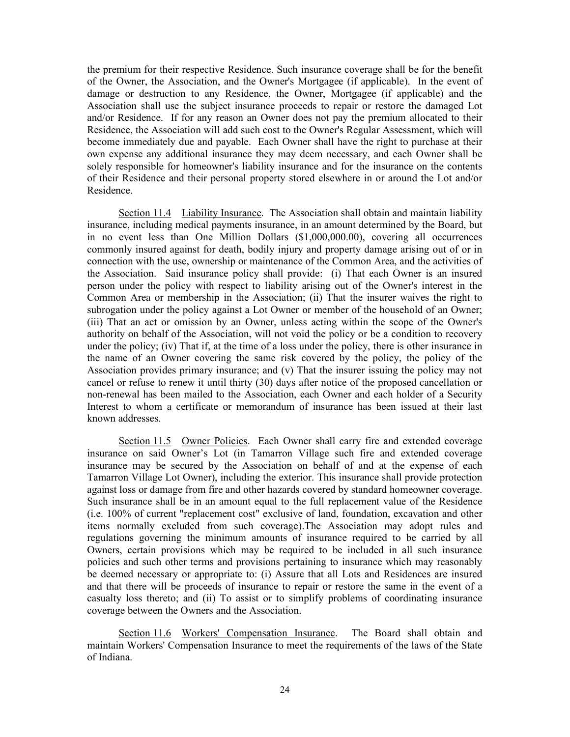the premium for their respective Residence. Such insurance coverage shall be for the benefit of the Owner, the Association, and the Owner's Mortgagee (if applicable). In the event of damage or destruction to any Residence, the Owner, Mortgagee (if applicable) and the Association shall use the subject insurance proceeds to repair or restore the damaged Lot and/or Residence. If for any reason an Owner does not pay the premium allocated to their Residence, the Association will add such cost to the Owner's Regular Assessment, which will become immediately due and payable. Each Owner shall have the right to purchase at their own expense any additional insurance they may deem necessary, and each Owner shall be solely responsible for homeowner's liability insurance and for the insurance on the contents of their Residence and their personal property stored elsewhere in or around the Lot and/or Residence.

Section 11.4 Liability Insurance. The Association shall obtain and maintain liability insurance, including medical payments insurance, in an amount determined by the Board, but in no event less than One Million Dollars (\$1,000,000.00), covering all occurrences commonly insured against for death, bodily injury and property damage arising out of or in connection with the use, ownership or maintenance of the Common Area, and the activities of the Association. Said insurance policy shall provide: (i) That each Owner is an insured person under the policy with respect to liability arising out of the Owner's interest in the Common Area or membership in the Association; (ii) That the insurer waives the right to subrogation under the policy against a Lot Owner or member of the household of an Owner; (iii) That an act or omission by an Owner, unless acting within the scope of the Owner's authority on behalf of the Association, will not void the policy or be a condition to recovery under the policy; (iv) That if, at the time of a loss under the policy, there is other insurance in the name of an Owner covering the same risk covered by the policy, the policy of the Association provides primary insurance; and (v) That the insurer issuing the policy may not cancel or refuse to renew it until thirty (30) days after notice of the proposed cancellation or non-renewal has been mailed to the Association, each Owner and each holder of a Security Interest to whom a certificate or memorandum of insurance has been issued at their last known addresses.

Section 11.5 Owner Policies. Each Owner shall carry fire and extended coverage insurance on said Owner's Lot (in Tamarron Village such fire and extended coverage insurance may be secured by the Association on behalf of and at the expense of each Tamarron Village Lot Owner), including the exterior. This insurance shall provide protection against loss or damage from fire and other hazards covered by standard homeowner coverage. Such insurance shall be in an amount equal to the full replacement value of the Residence (i.e. 100% of current "replacement cost" exclusive of land, foundation, excavation and other items normally excluded from such coverage).The Association may adopt rules and regulations governing the minimum amounts of insurance required to be carried by all Owners, certain provisions which may be required to be included in all such insurance policies and such other terms and provisions pertaining to insurance which may reasonably be deemed necessary or appropriate to: (i) Assure that all Lots and Residences are insured and that there will be proceeds of insurance to repair or restore the same in the event of a casualty loss thereto; and (ii) To assist or to simplify problems of coordinating insurance coverage between the Owners and the Association.

Section 11.6 Workers' Compensation Insurance. The Board shall obtain and maintain Workers' Compensation Insurance to meet the requirements of the laws of the State of Indiana.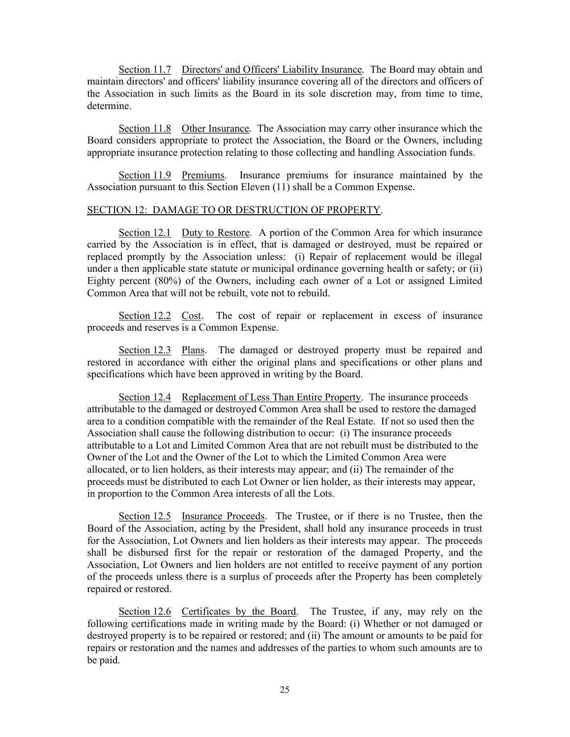Section 11.7 Directors' and Officers' Liability Insurance. The Board may obtain and maintain directors' and officers' liability insurance covering all of the directors and officers of the Association in such limits as the Board in its sole discretion may, from time to time, determine.

Section 11.8 Other Insurance. The Association may carry other insurance which the Board considers appropriate to protect the Association, the Board or the Owners, including appropriate insurance protection relating to those collecting and handling Association funds.

Section 11.9 Premiums. Insurance premiums for insurance maintained by the Association pursuant to this Section Eleven (11) shall be a Common Expense.

### SECTION 12: DAMAGE TO OR DESTRUCTION OF PROPERTY.

Section 12.1 Duty to Restore. A portion of the Common Area for which insurance carried by the Association is in effect, that is damaged or destroyed, must be repaired or replaced promptly by the Association unless: (i) Repair of replacement would be illegal under a then applicable state statute or municipal ordinance governing health or safety; or (ii) Eighty percent (80%) of the Owners, including each owner of a Lot or assigned Limited Common Area that will not be rebuilt, vote not to rebuild.

Section 12.2 Cost. The cost of repair or replacement in excess of insurance proceeds and reserves is a Common Expense.

Section 12.3 Plans. The damaged or destroyed property must be repaired and restored in accordance with either the original plans and specifications or other plans and specifications which have been approved in writing by the Board.

Section 12.4 Replacement of Less Than Entire Property. The insurance proceeds attributable to the damaged or destroyed Common Area shall be used to restore the damaged area to a condition compatible with the remainder of the Real Estate. If not so used then the Association shall cause the following distribution to occur: (i) The insurance proceeds attributable to a Lot and Limited Common Area that are not rebuilt must be distributed to the Owner of the Lot and the Owner of the Lot to which the Limited Common Area were allocated, or to lien holders, as their interests may appear; and (ii) The remainder of the proceeds must be distributed to each Lot Owner or lien holder, as their interests may appear, in proportion to the Common Area interests of all the Lots.

Section 12.5 Insurance Proceeds. The Trustee, or if there is no Trustee, then the Board of the Association, acting by the President, shall hold any insurance proceeds in trust for the Association, Lot Owners and lien holders as their interests may appear. The proceeds shall be disbursed first for the repair or restoration of the damaged Property, and the Association, Lot Owners and lien holders are not entitled to receive payment of any portion of the proceeds unless there is a surplus of proceeds after the Property has been completely repaired or restored.

Section 12.6 Certificates by the Board. The Trustee, if any, may rely on the following certifications made in writing made by the Board: (i) Whether or not damaged or destroyed property is to be repaired or restored; and (ii) The amount or amounts to be paid for repairs or restoration and the names and addresses of the parties to whom such amounts are to be paid.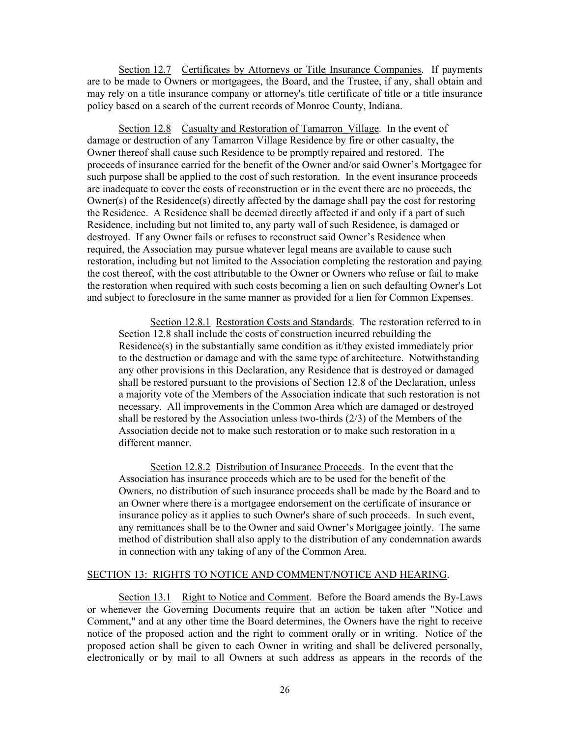Section 12.7 Certificates by Attorneys or Title Insurance Companies. If payments are to be made to Owners or mortgagees, the Board, and the Trustee, if any, shall obtain and may rely on a title insurance company or attorney's title certificate of title or a title insurance policy based on a search of the current records of Monroe County, Indiana.

Section 12.8 Casualty and Restoration of Tamarron Village. In the event of damage or destruction of any Tamarron Village Residence by fire or other casualty, the Owner thereof shall cause such Residence to be promptly repaired and restored. The proceeds of insurance carried for the benefit of the Owner and/or said Owner's Mortgagee for such purpose shall be applied to the cost of such restoration. In the event insurance proceeds are inadequate to cover the costs of reconstruction or in the event there are no proceeds, the Owner(s) of the Residence(s) directly affected by the damage shall pay the cost for restoring the Residence. A Residence shall be deemed directly affected if and only if a part of such Residence, including but not limited to, any party wall of such Residence, is damaged or destroyed. If any Owner fails or refuses to reconstruct said Owner's Residence when required, the Association may pursue whatever legal means are available to cause such restoration, including but not limited to the Association completing the restoration and paying the cost thereof, with the cost attributable to the Owner or Owners who refuse or fail to make the restoration when required with such costs becoming a lien on such defaulting Owner's Lot and subject to foreclosure in the same manner as provided for a lien for Common Expenses.

Section 12.8.1 Restoration Costs and Standards. The restoration referred to in Section 12.8 shall include the costs of construction incurred rebuilding the Residence(s) in the substantially same condition as it/they existed immediately prior to the destruction or damage and with the same type of architecture. Notwithstanding any other provisions in this Declaration, any Residence that is destroyed or damaged shall be restored pursuant to the provisions of Section 12.8 of the Declaration, unless a majority vote of the Members of the Association indicate that such restoration is not necessary. All improvements in the Common Area which are damaged or destroyed shall be restored by the Association unless two-thirds (2/3) of the Members of the Association decide not to make such restoration or to make such restoration in a different manner.

Section 12.8.2 Distribution of Insurance Proceeds. In the event that the Association has insurance proceeds which are to be used for the benefit of the Owners, no distribution of such insurance proceeds shall be made by the Board and to an Owner where there is a mortgagee endorsement on the certificate of insurance or insurance policy as it applies to such Owner's share of such proceeds. In such event, any remittances shall be to the Owner and said Owner's Mortgagee jointly. The same method of distribution shall also apply to the distribution of any condemnation awards in connection with any taking of any of the Common Area.

## SECTION 13: RIGHTS TO NOTICE AND COMMENT/NOTICE AND HEARING.

Section 13.1 Right to Notice and Comment. Before the Board amends the By-Laws or whenever the Governing Documents require that an action be taken after "Notice and Comment," and at any other time the Board determines, the Owners have the right to receive notice of the proposed action and the right to comment orally or in writing. Notice of the proposed action shall be given to each Owner in writing and shall be delivered personally, electronically or by mail to all Owners at such address as appears in the records of the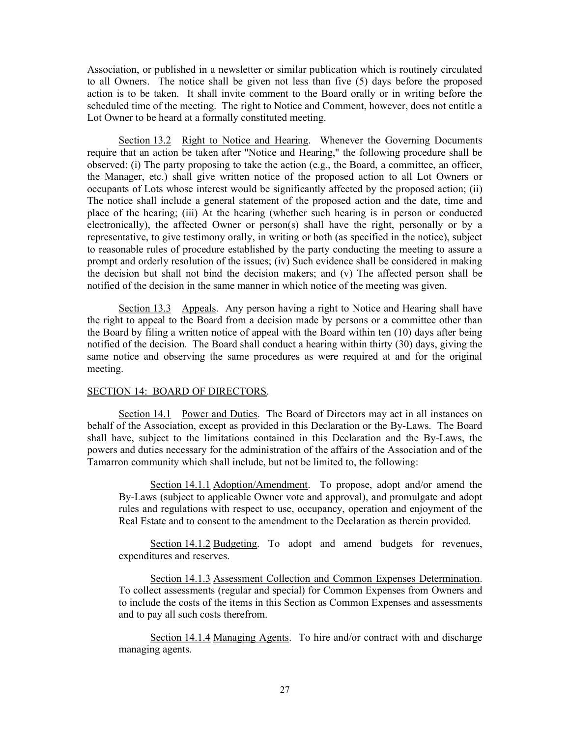Association, or published in a newsletter or similar publication which is routinely circulated to all Owners. The notice shall be given not less than five (5) days before the proposed action is to be taken. It shall invite comment to the Board orally or in writing before the scheduled time of the meeting. The right to Notice and Comment, however, does not entitle a Lot Owner to be heard at a formally constituted meeting.

Section 13.2 Right to Notice and Hearing. Whenever the Governing Documents require that an action be taken after "Notice and Hearing," the following procedure shall be observed: (i) The party proposing to take the action (e.g., the Board, a committee, an officer, the Manager, etc.) shall give written notice of the proposed action to all Lot Owners or occupants of Lots whose interest would be significantly affected by the proposed action; (ii) The notice shall include a general statement of the proposed action and the date, time and place of the hearing; (iii) At the hearing (whether such hearing is in person or conducted electronically), the affected Owner or person(s) shall have the right, personally or by a representative, to give testimony orally, in writing or both (as specified in the notice), subject to reasonable rules of procedure established by the party conducting the meeting to assure a prompt and orderly resolution of the issues; (iv) Such evidence shall be considered in making the decision but shall not bind the decision makers; and (v) The affected person shall be notified of the decision in the same manner in which notice of the meeting was given.

Section 13.3 Appeals. Any person having a right to Notice and Hearing shall have the right to appeal to the Board from a decision made by persons or a committee other than the Board by filing a written notice of appeal with the Board within ten (10) days after being notified of the decision. The Board shall conduct a hearing within thirty (30) days, giving the same notice and observing the same procedures as were required at and for the original meeting.

## SECTION 14: BOARD OF DIRECTORS.

Section 14.1 Power and Duties. The Board of Directors may act in all instances on behalf of the Association, except as provided in this Declaration or the By-Laws. The Board shall have, subject to the limitations contained in this Declaration and the By-Laws, the powers and duties necessary for the administration of the affairs of the Association and of the Tamarron community which shall include, but not be limited to, the following:

Section 14.1.1 Adoption/Amendment. To propose, adopt and/or amend the By-Laws (subject to applicable Owner vote and approval), and promulgate and adopt rules and regulations with respect to use, occupancy, operation and enjoyment of the Real Estate and to consent to the amendment to the Declaration as therein provided.

Section 14.1.2 Budgeting. To adopt and amend budgets for revenues, expenditures and reserves.

Section 14.1.3 Assessment Collection and Common Expenses Determination. To collect assessments (regular and special) for Common Expenses from Owners and to include the costs of the items in this Section as Common Expenses and assessments and to pay all such costs therefrom.

 Section 14.1.4 Managing Agents. To hire and/or contract with and discharge managing agents.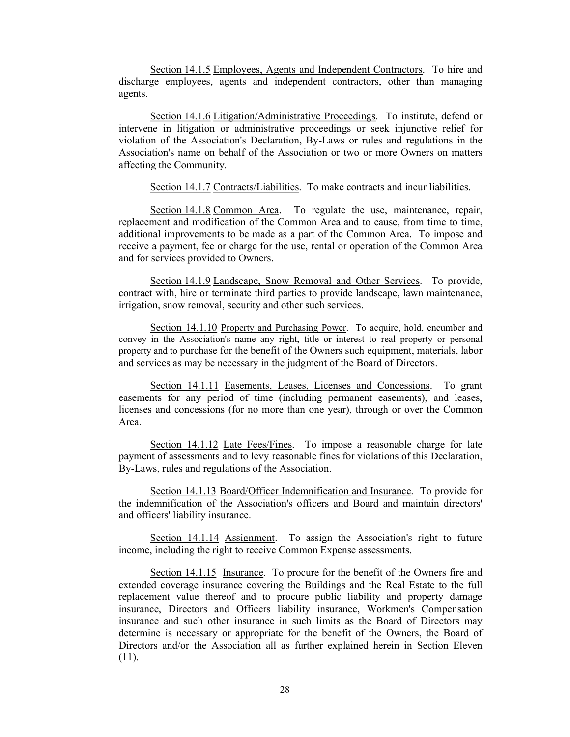Section 14.1.5 Employees, Agents and Independent Contractors. To hire and discharge employees, agents and independent contractors, other than managing agents.

Section 14.1.6 Litigation/Administrative Proceedings. To institute, defend or intervene in litigation or administrative proceedings or seek injunctive relief for violation of the Association's Declaration, By-Laws or rules and regulations in the Association's name on behalf of the Association or two or more Owners on matters affecting the Community.

Section 14.1.7 Contracts/Liabilities. To make contracts and incur liabilities.

Section 14.1.8 Common Area. To regulate the use, maintenance, repair, replacement and modification of the Common Area and to cause, from time to time, additional improvements to be made as a part of the Common Area. To impose and receive a payment, fee or charge for the use, rental or operation of the Common Area and for services provided to Owners.

 Section 14.1.9 Landscape, Snow Removal and Other Services. To provide, contract with, hire or terminate third parties to provide landscape, lawn maintenance, irrigation, snow removal, security and other such services.

 Section 14.1.10 Property and Purchasing Power. To acquire, hold, encumber and convey in the Association's name any right, title or interest to real property or personal property and to purchase for the benefit of the Owners such equipment, materials, labor and services as may be necessary in the judgment of the Board of Directors.

 Section 14.1.11 Easements, Leases, Licenses and Concessions. To grant easements for any period of time (including permanent easements), and leases, licenses and concessions (for no more than one year), through or over the Common Area.

Section 14.1.12 Late Fees/Fines. To impose a reasonable charge for late payment of assessments and to levy reasonable fines for violations of this Declaration, By-Laws, rules and regulations of the Association.

Section 14.1.13 Board/Officer Indemnification and Insurance. To provide for the indemnification of the Association's officers and Board and maintain directors' and officers' liability insurance.

 Section 14.1.14 Assignment. To assign the Association's right to future income, including the right to receive Common Expense assessments.

 Section 14.1.15 Insurance. To procure for the benefit of the Owners fire and extended coverage insurance covering the Buildings and the Real Estate to the full replacement value thereof and to procure public liability and property damage insurance, Directors and Officers liability insurance, Workmen's Compensation insurance and such other insurance in such limits as the Board of Directors may determine is necessary or appropriate for the benefit of the Owners, the Board of Directors and/or the Association all as further explained herein in Section Eleven (11).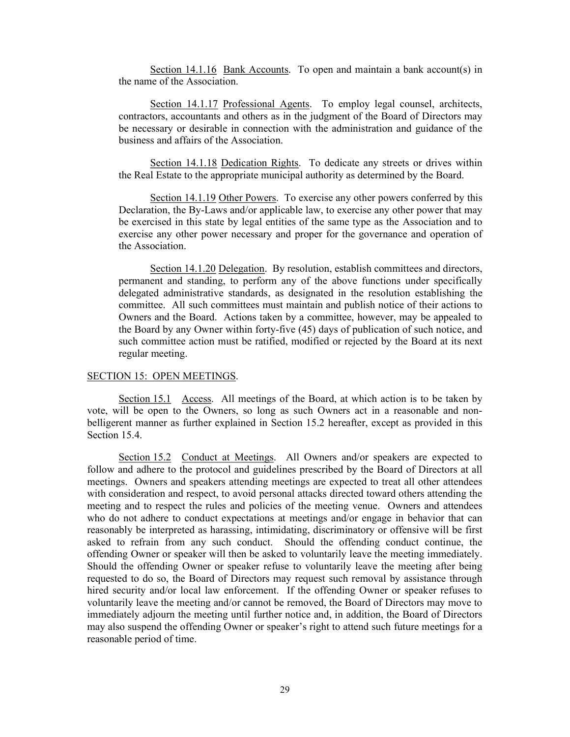Section 14.1.16 Bank Accounts. To open and maintain a bank account(s) in the name of the Association.

Section 14.1.17 Professional Agents. To employ legal counsel, architects, contractors, accountants and others as in the judgment of the Board of Directors may be necessary or desirable in connection with the administration and guidance of the business and affairs of the Association.

Section 14.1.18 Dedication Rights. To dedicate any streets or drives within the Real Estate to the appropriate municipal authority as determined by the Board.

 Section 14.1.19 Other Powers. To exercise any other powers conferred by this Declaration, the By-Laws and/or applicable law, to exercise any other power that may be exercised in this state by legal entities of the same type as the Association and to exercise any other power necessary and proper for the governance and operation of the Association.

Section 14.1.20 Delegation. By resolution, establish committees and directors, permanent and standing, to perform any of the above functions under specifically delegated administrative standards, as designated in the resolution establishing the committee. All such committees must maintain and publish notice of their actions to Owners and the Board. Actions taken by a committee, however, may be appealed to the Board by any Owner within forty-five (45) days of publication of such notice, and such committee action must be ratified, modified or rejected by the Board at its next regular meeting.

#### SECTION 15: OPEN MEETINGS.

Section 15.1 Access. All meetings of the Board, at which action is to be taken by vote, will be open to the Owners, so long as such Owners act in a reasonable and nonbelligerent manner as further explained in Section 15.2 hereafter, except as provided in this Section 15.4.

Section 15.2 Conduct at Meetings. All Owners and/or speakers are expected to follow and adhere to the protocol and guidelines prescribed by the Board of Directors at all meetings. Owners and speakers attending meetings are expected to treat all other attendees with consideration and respect, to avoid personal attacks directed toward others attending the meeting and to respect the rules and policies of the meeting venue. Owners and attendees who do not adhere to conduct expectations at meetings and/or engage in behavior that can reasonably be interpreted as harassing, intimidating, discriminatory or offensive will be first asked to refrain from any such conduct. Should the offending conduct continue, the offending Owner or speaker will then be asked to voluntarily leave the meeting immediately. Should the offending Owner or speaker refuse to voluntarily leave the meeting after being requested to do so, the Board of Directors may request such removal by assistance through hired security and/or local law enforcement. If the offending Owner or speaker refuses to voluntarily leave the meeting and/or cannot be removed, the Board of Directors may move to immediately adjourn the meeting until further notice and, in addition, the Board of Directors may also suspend the offending Owner or speaker's right to attend such future meetings for a reasonable period of time.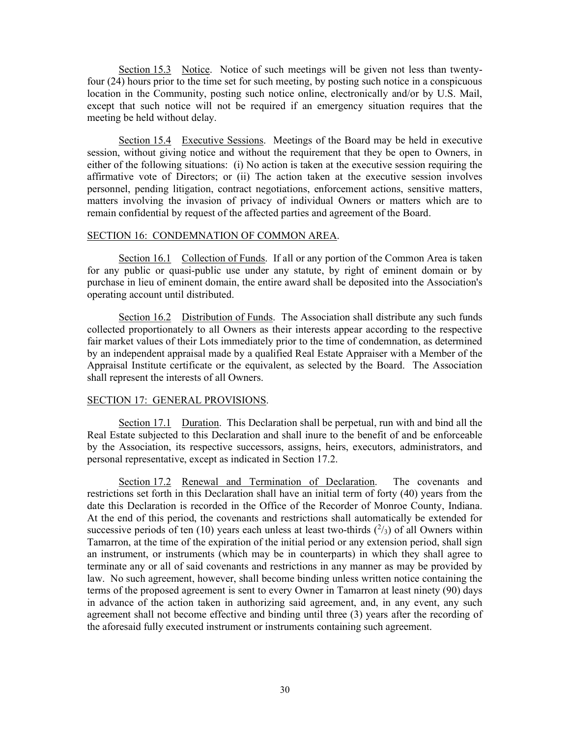Section 15.3 Notice. Notice of such meetings will be given not less than twentyfour (24) hours prior to the time set for such meeting, by posting such notice in a conspicuous location in the Community, posting such notice online, electronically and/or by U.S. Mail, except that such notice will not be required if an emergency situation requires that the meeting be held without delay.

Section 15.4 Executive Sessions. Meetings of the Board may be held in executive session, without giving notice and without the requirement that they be open to Owners, in either of the following situations: (i) No action is taken at the executive session requiring the affirmative vote of Directors; or (ii) The action taken at the executive session involves personnel, pending litigation, contract negotiations, enforcement actions, sensitive matters, matters involving the invasion of privacy of individual Owners or matters which are to remain confidential by request of the affected parties and agreement of the Board.

## SECTION 16: CONDEMNATION OF COMMON AREA.

Section 16.1 Collection of Funds. If all or any portion of the Common Area is taken for any public or quasi-public use under any statute, by right of eminent domain or by purchase in lieu of eminent domain, the entire award shall be deposited into the Association's operating account until distributed.

Section 16.2 Distribution of Funds. The Association shall distribute any such funds collected proportionately to all Owners as their interests appear according to the respective fair market values of their Lots immediately prior to the time of condemnation, as determined by an independent appraisal made by a qualified Real Estate Appraiser with a Member of the Appraisal Institute certificate or the equivalent, as selected by the Board. The Association shall represent the interests of all Owners.

#### SECTION 17: GENERAL PROVISIONS.

Section 17.1 Duration. This Declaration shall be perpetual, run with and bind all the Real Estate subjected to this Declaration and shall inure to the benefit of and be enforceable by the Association, its respective successors, assigns, heirs, executors, administrators, and personal representative, except as indicated in Section 17.2.

Section 17.2 Renewal and Termination of Declaration. The covenants and restrictions set forth in this Declaration shall have an initial term of forty (40) years from the date this Declaration is recorded in the Office of the Recorder of Monroe County, Indiana. At the end of this period, the covenants and restrictions shall automatically be extended for successive periods of ten (10) years each unless at least two-thirds  $(^{2}/_{3})$  of all Owners within Tamarron, at the time of the expiration of the initial period or any extension period, shall sign an instrument, or instruments (which may be in counterparts) in which they shall agree to terminate any or all of said covenants and restrictions in any manner as may be provided by law. No such agreement, however, shall become binding unless written notice containing the terms of the proposed agreement is sent to every Owner in Tamarron at least ninety (90) days in advance of the action taken in authorizing said agreement, and, in any event, any such agreement shall not become effective and binding until three (3) years after the recording of the aforesaid fully executed instrument or instruments containing such agreement.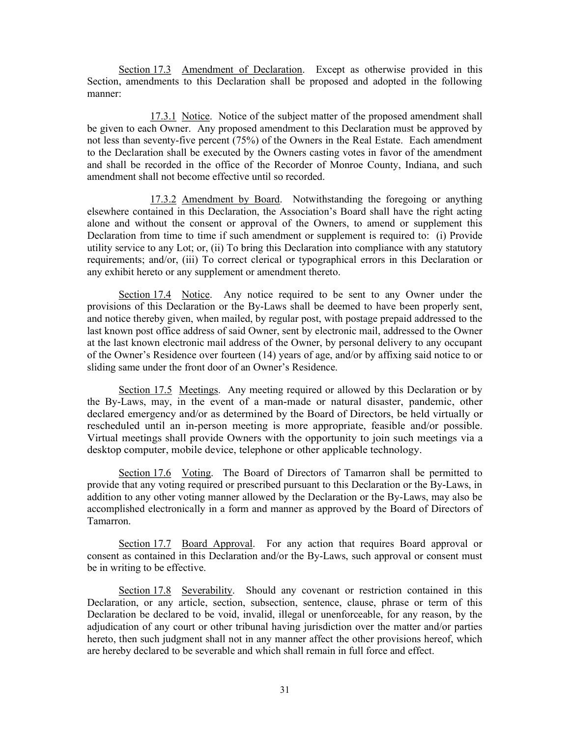Section 17.3 Amendment of Declaration. Except as otherwise provided in this Section, amendments to this Declaration shall be proposed and adopted in the following manner:

17.3.1 Notice. Notice of the subject matter of the proposed amendment shall be given to each Owner. Any proposed amendment to this Declaration must be approved by not less than seventy-five percent (75%) of the Owners in the Real Estate. Each amendment to the Declaration shall be executed by the Owners casting votes in favor of the amendment and shall be recorded in the office of the Recorder of Monroe County, Indiana, and such amendment shall not become effective until so recorded.

 17.3.2 Amendment by Board. Notwithstanding the foregoing or anything elsewhere contained in this Declaration, the Association's Board shall have the right acting alone and without the consent or approval of the Owners, to amend or supplement this Declaration from time to time if such amendment or supplement is required to: (i) Provide utility service to any Lot; or, (ii) To bring this Declaration into compliance with any statutory requirements; and/or, (iii) To correct clerical or typographical errors in this Declaration or any exhibit hereto or any supplement or amendment thereto.

Section 17.4 Notice. Any notice required to be sent to any Owner under the provisions of this Declaration or the By-Laws shall be deemed to have been properly sent, and notice thereby given, when mailed, by regular post, with postage prepaid addressed to the last known post office address of said Owner, sent by electronic mail, addressed to the Owner at the last known electronic mail address of the Owner, by personal delivery to any occupant of the Owner's Residence over fourteen (14) years of age, and/or by affixing said notice to or sliding same under the front door of an Owner's Residence.

Section 17.5 Meetings. Any meeting required or allowed by this Declaration or by the By-Laws, may, in the event of a man-made or natural disaster, pandemic, other declared emergency and/or as determined by the Board of Directors, be held virtually or rescheduled until an in-person meeting is more appropriate, feasible and/or possible. Virtual meetings shall provide Owners with the opportunity to join such meetings via a desktop computer, mobile device, telephone or other applicable technology.

Section 17.6 Voting. The Board of Directors of Tamarron shall be permitted to provide that any voting required or prescribed pursuant to this Declaration or the By-Laws, in addition to any other voting manner allowed by the Declaration or the By-Laws, may also be accomplished electronically in a form and manner as approved by the Board of Directors of Tamarron.

Section 17.7 Board Approval. For any action that requires Board approval or consent as contained in this Declaration and/or the By-Laws, such approval or consent must be in writing to be effective.

Section 17.8 Severability. Should any covenant or restriction contained in this Declaration, or any article, section, subsection, sentence, clause, phrase or term of this Declaration be declared to be void, invalid, illegal or unenforceable, for any reason, by the adjudication of any court or other tribunal having jurisdiction over the matter and/or parties hereto, then such judgment shall not in any manner affect the other provisions hereof, which are hereby declared to be severable and which shall remain in full force and effect.